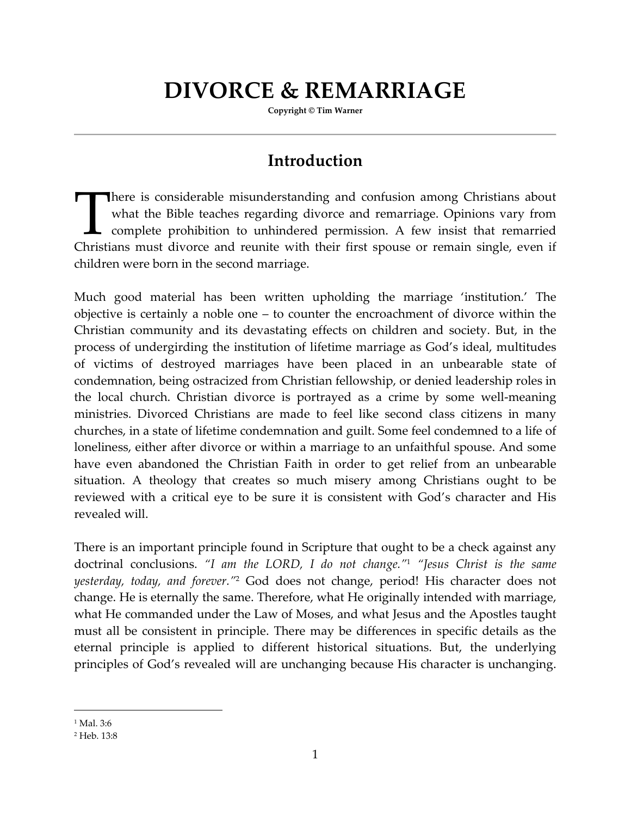# **DIVORCE & REMARRIAGE**

**Copyright © Tim Warner** 

### **Introduction**

here is considerable misunderstanding and confusion among Christians about what the Bible teaches regarding divorce and remarriage. Opinions vary from complete prohibition to unhindered permission. A few insist that remarried There is considerable misunderstanding and confusion among Christians about what the Bible teaches regarding divorce and remarriage. Opinions vary from complete prohibition to unhindered permission. A few insist that remar children were born in the second marriage.

Much good material has been written upholding the marriage 'institution.' The objective is certainly a noble one – to counter the encroachment of divorce within the Christian community and its devastating effects on children and society. But, in the process of undergirding the institution of lifetime marriage as God's ideal, multitudes of victims of destroyed marriages have been placed in an unbearable state of condemnation, being ostracized from Christian fellowship, or denied leadership roles in the local church. Christian divorce is portrayed as a crime by some well-meaning ministries. Divorced Christians are made to feel like second class citizens in many churches, in a state of lifetime condemnation and guilt. Some feel condemned to a life of loneliness, either after divorce or within a marriage to an unfaithful spouse. And some have even abandoned the Christian Faith in order to get relief from an unbearable situation. A theology that creates so much misery among Christians ought to be reviewed with a critical eye to be sure it is consistent with God's character and His revealed will.

There is an important principle found in Scripture that ought to be a check against any doctrinal conclusions. *"I am the LORD, I do not change."*<sup>1</sup> *"Jesus Christ is the same yesterday, today, and forever."*<sup>2</sup> God does not change, period! His character does not change. He is eternally the same. Therefore, what He originally intended with marriage, what He commanded under the Law of Moses, and what Jesus and the Apostles taught must all be consistent in principle. There may be differences in specific details as the eternal principle is applied to different historical situations. But, the underlying principles of God's revealed will are unchanging because His character is unchanging.

<sup>1</sup> Mal. 3:6

<sup>2</sup> Heb. 13:8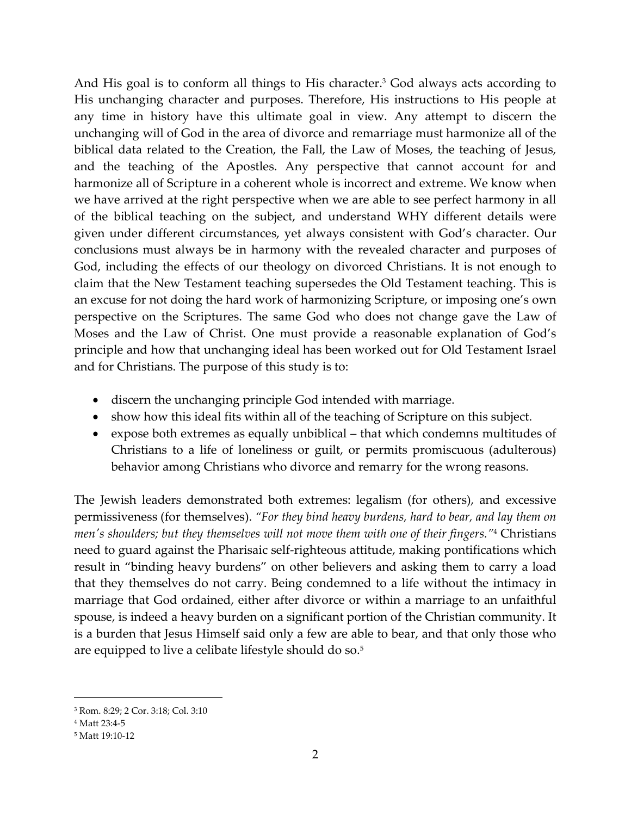And His goal is to conform all things to His character.<sup>3</sup> God always acts according to His unchanging character and purposes. Therefore, His instructions to His people at any time in history have this ultimate goal in view. Any attempt to discern the unchanging will of God in the area of divorce and remarriage must harmonize all of the biblical data related to the Creation, the Fall, the Law of Moses, the teaching of Jesus, and the teaching of the Apostles. Any perspective that cannot account for and harmonize all of Scripture in a coherent whole is incorrect and extreme. We know when we have arrived at the right perspective when we are able to see perfect harmony in all of the biblical teaching on the subject, and understand WHY different details were given under different circumstances, yet always consistent with God's character. Our conclusions must always be in harmony with the revealed character and purposes of God, including the effects of our theology on divorced Christians. It is not enough to claim that the New Testament teaching supersedes the Old Testament teaching. This is an excuse for not doing the hard work of harmonizing Scripture, or imposing one's own perspective on the Scriptures. The same God who does not change gave the Law of Moses and the Law of Christ. One must provide a reasonable explanation of God's principle and how that unchanging ideal has been worked out for Old Testament Israel and for Christians. The purpose of this study is to:

- discern the unchanging principle God intended with marriage.
- show how this ideal fits within all of the teaching of Scripture on this subject.
- expose both extremes as equally unbiblical that which condemns multitudes of Christians to a life of loneliness or guilt, or permits promiscuous (adulterous) behavior among Christians who divorce and remarry for the wrong reasons.

The Jewish leaders demonstrated both extremes: legalism (for others), and excessive permissiveness (for themselves). *"For they bind heavy burdens, hard to bear, and lay them on men's shoulders; but they themselves will not move them with one of their fingers."*<sup>4</sup> Christians need to guard against the Pharisaic self-righteous attitude, making pontifications which result in "binding heavy burdens" on other believers and asking them to carry a load that they themselves do not carry. Being condemned to a life without the intimacy in marriage that God ordained, either after divorce or within a marriage to an unfaithful spouse, is indeed a heavy burden on a significant portion of the Christian community. It is a burden that Jesus Himself said only a few are able to bear, and that only those who are equipped to live a celibate lifestyle should do so.<sup>5</sup>

l

<sup>3</sup> Rom. 8:29; 2 Cor. 3:18; Col. 3:10

<sup>4</sup> Matt 23:4-5

<sup>5</sup> Matt 19:10-12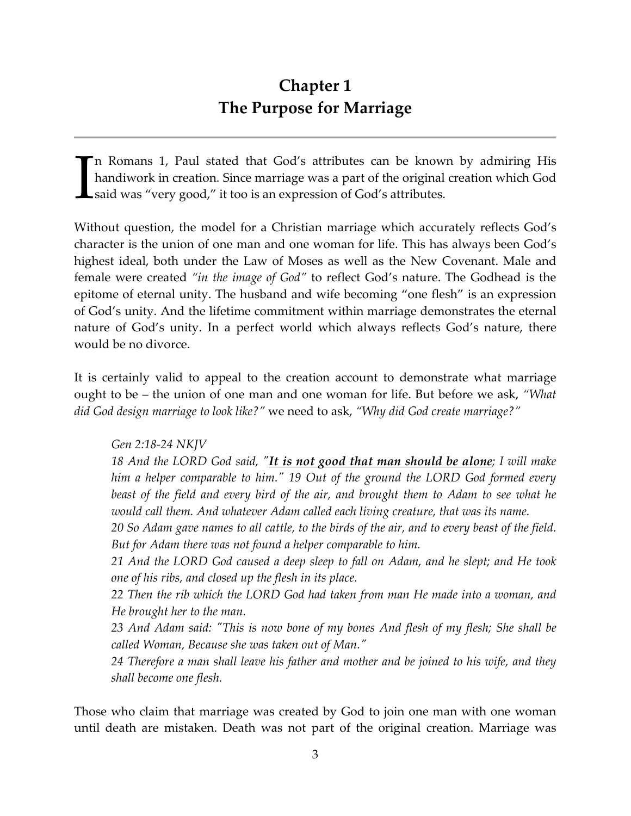### **Chapter 1 The Purpose for Marriage**

n Romans 1, Paul stated that God's attributes can be known by admiring His handiwork in creation. Since marriage was a part of the original creation which God said was "very good," it too is an expression of God's attributes. I

Without question, the model for a Christian marriage which accurately reflects God's character is the union of one man and one woman for life. This has always been God's highest ideal, both under the Law of Moses as well as the New Covenant. Male and female were created *"in the image of God"* to reflect God's nature. The Godhead is the epitome of eternal unity. The husband and wife becoming "one flesh" is an expression of God's unity. And the lifetime commitment within marriage demonstrates the eternal nature of God's unity. In a perfect world which always reflects God's nature, there would be no divorce.

It is certainly valid to appeal to the creation account to demonstrate what marriage ought to be – the union of one man and one woman for life. But before we ask, *"What did God design marriage to look like?"* we need to ask, *"Why did God create marriage?"* 

*Gen 2:18-24 NKJV* 

*18 And the LORD God said, "It is not good that man should be alone; I will make him a helper comparable to him." 19 Out of the ground the LORD God formed every*  beast of the field and every bird of the air, and brought them to Adam to see what he would call them. And whatever Adam called each living creature, that was its name.

*20 So Adam gave names to all cattle, to the birds of the air, and to every beast of the field. But for Adam there was not found a helper comparable to him.* 

*21 And the LORD God caused a deep sleep to fall on Adam, and he slept; and He took one of his ribs, and closed up the flesh in its place.* 

*22 Then the rib which the LORD God had taken from man He made into a woman, and He brought her to the man.* 

*23 And Adam said: "This is now bone of my bones And flesh of my flesh; She shall be called Woman, Because she was taken out of Man."* 

*24 Therefore a man shall leave his father and mother and be joined to his wife, and they shall become one flesh.* 

Those who claim that marriage was created by God to join one man with one woman until death are mistaken. Death was not part of the original creation. Marriage was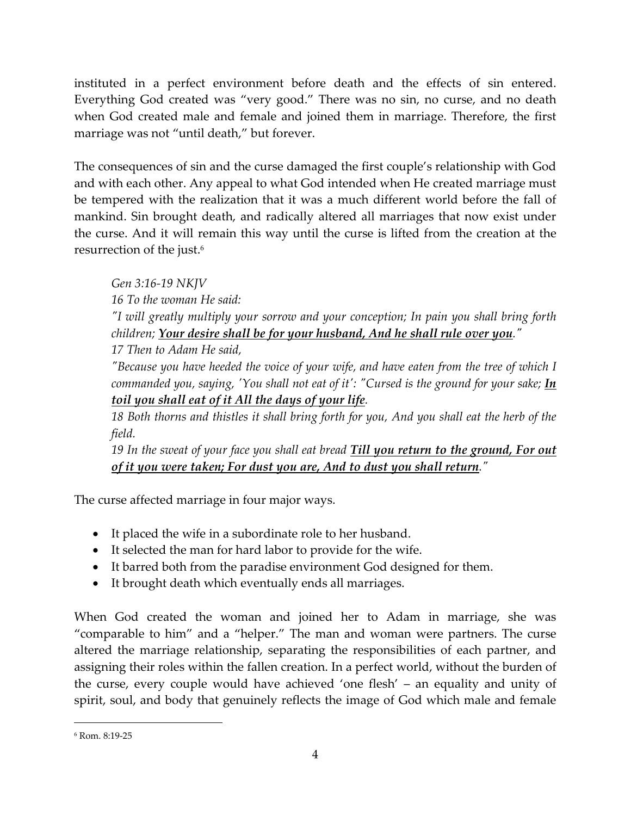instituted in a perfect environment before death and the effects of sin entered. Everything God created was "very good." There was no sin, no curse, and no death when God created male and female and joined them in marriage. Therefore, the first marriage was not "until death," but forever.

The consequences of sin and the curse damaged the first couple's relationship with God and with each other. Any appeal to what God intended when He created marriage must be tempered with the realization that it was a much different world before the fall of mankind. Sin brought death, and radically altered all marriages that now exist under the curse. And it will remain this way until the curse is lifted from the creation at the resurrection of the just.<sup>6</sup>

*Gen 3:16-19 NKJV* 

*16 To the woman He said:* 

*"I will greatly multiply your sorrow and your conception; In pain you shall bring forth children; Your desire shall be for your husband, And he shall rule over you."* 

*17 Then to Adam He said,* 

*"Because you have heeded the voice of your wife, and have eaten from the tree of which I commanded you, saying, 'You shall not eat of it': "Cursed is the ground for your sake; In toil you shall eat of it All the days of your life.* 

18 Both thorns and thistles it shall bring forth for you, And you shall eat the herb of the *field.* 

*19 In the sweat of your face you shall eat bread Till you return to the ground, For out of it you were taken; For dust you are, And to dust you shall return."* 

The curse affected marriage in four major ways.

- It placed the wife in a subordinate role to her husband.
- It selected the man for hard labor to provide for the wife.
- It barred both from the paradise environment God designed for them.
- It brought death which eventually ends all marriages.

When God created the woman and joined her to Adam in marriage, she was "comparable to him" and a "helper." The man and woman were partners. The curse altered the marriage relationship, separating the responsibilities of each partner, and assigning their roles within the fallen creation. In a perfect world, without the burden of the curse, every couple would have achieved 'one flesh' – an equality and unity of spirit, soul, and body that genuinely reflects the image of God which male and female

<sup>6</sup> Rom. 8:19-25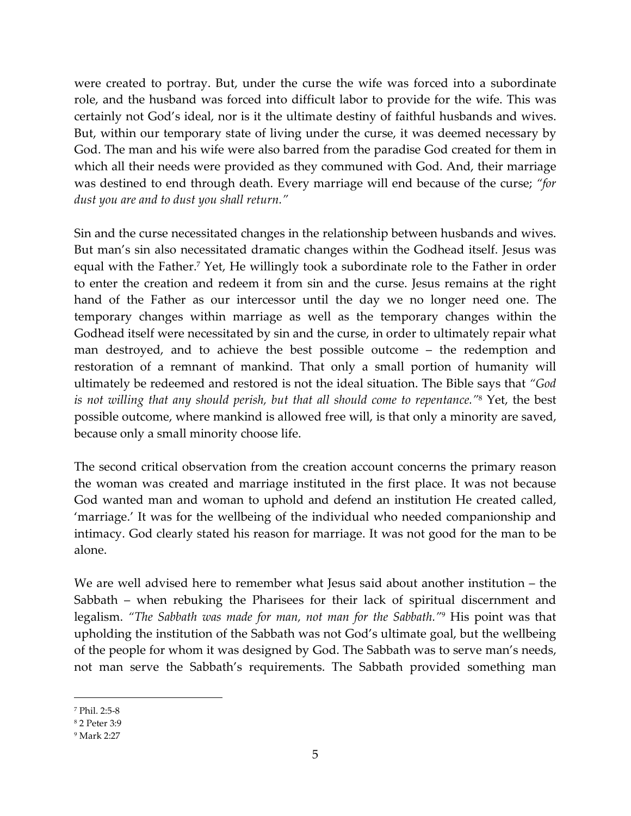were created to portray. But, under the curse the wife was forced into a subordinate role, and the husband was forced into difficult labor to provide for the wife. This was certainly not God's ideal, nor is it the ultimate destiny of faithful husbands and wives. But, within our temporary state of living under the curse, it was deemed necessary by God. The man and his wife were also barred from the paradise God created for them in which all their needs were provided as they communed with God. And, their marriage was destined to end through death. Every marriage will end because of the curse; *"for dust you are and to dust you shall return."*

Sin and the curse necessitated changes in the relationship between husbands and wives. But man's sin also necessitated dramatic changes within the Godhead itself. Jesus was equal with the Father.<sup>7</sup> Yet, He willingly took a subordinate role to the Father in order to enter the creation and redeem it from sin and the curse. Jesus remains at the right hand of the Father as our intercessor until the day we no longer need one. The temporary changes within marriage as well as the temporary changes within the Godhead itself were necessitated by sin and the curse, in order to ultimately repair what man destroyed, and to achieve the best possible outcome – the redemption and restoration of a remnant of mankind. That only a small portion of humanity will ultimately be redeemed and restored is not the ideal situation. The Bible says that *"God is not willing that any should perish, but that all should come to repentance."*<sup>8</sup> Yet, the best possible outcome, where mankind is allowed free will, is that only a minority are saved, because only a small minority choose life.

The second critical observation from the creation account concerns the primary reason the woman was created and marriage instituted in the first place. It was not because God wanted man and woman to uphold and defend an institution He created called, 'marriage.' It was for the wellbeing of the individual who needed companionship and intimacy. God clearly stated his reason for marriage. It was not good for the man to be alone.

We are well advised here to remember what Jesus said about another institution – the Sabbath – when rebuking the Pharisees for their lack of spiritual discernment and legalism. *"The Sabbath was made for man, not man for the Sabbath."*<sup>9</sup> His point was that upholding the institution of the Sabbath was not God's ultimate goal, but the wellbeing of the people for whom it was designed by God. The Sabbath was to serve man's needs, not man serve the Sabbath's requirements. The Sabbath provided something man

<sup>7</sup> Phil. 2:5-8

<sup>8</sup> 2 Peter 3:9

<sup>9</sup> Mark 2:27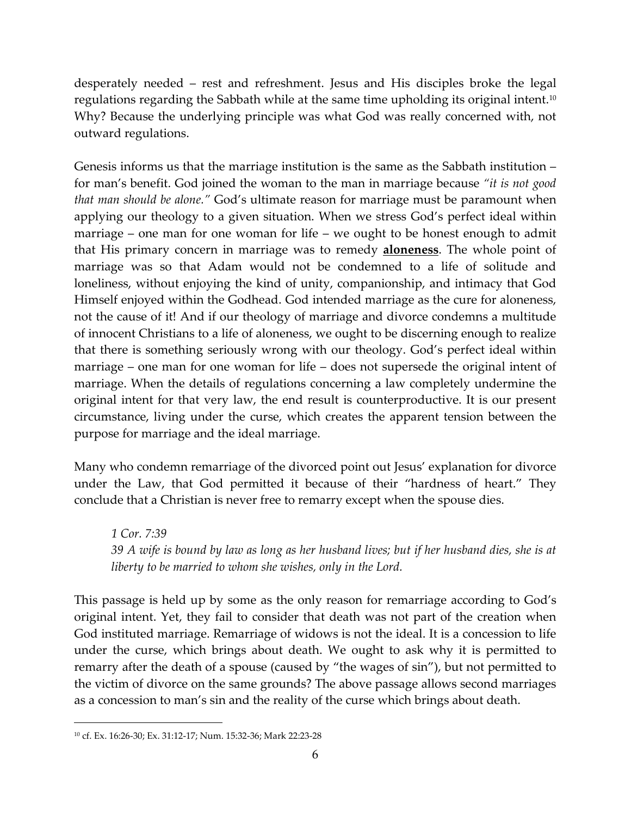desperately needed – rest and refreshment. Jesus and His disciples broke the legal regulations regarding the Sabbath while at the same time upholding its original intent.<sup>10</sup> Why? Because the underlying principle was what God was really concerned with, not outward regulations.

Genesis informs us that the marriage institution is the same as the Sabbath institution – for man's benefit. God joined the woman to the man in marriage because *"it is not good that man should be alone."* God's ultimate reason for marriage must be paramount when applying our theology to a given situation. When we stress God's perfect ideal within marriage – one man for one woman for life – we ought to be honest enough to admit that His primary concern in marriage was to remedy **aloneness**. The whole point of marriage was so that Adam would not be condemned to a life of solitude and loneliness, without enjoying the kind of unity, companionship, and intimacy that God Himself enjoyed within the Godhead. God intended marriage as the cure for aloneness, not the cause of it! And if our theology of marriage and divorce condemns a multitude of innocent Christians to a life of aloneness, we ought to be discerning enough to realize that there is something seriously wrong with our theology. God's perfect ideal within marriage – one man for one woman for life – does not supersede the original intent of marriage. When the details of regulations concerning a law completely undermine the original intent for that very law, the end result is counterproductive. It is our present circumstance, living under the curse, which creates the apparent tension between the purpose for marriage and the ideal marriage.

Many who condemn remarriage of the divorced point out Jesus' explanation for divorce under the Law, that God permitted it because of their "hardness of heart." They conclude that a Christian is never free to remarry except when the spouse dies.

*1 Cor. 7:39 39 A wife is bound by law as long as her husband lives; but if her husband dies, she is at liberty to be married to whom she wishes, only in the Lord.* 

This passage is held up by some as the only reason for remarriage according to God's original intent. Yet, they fail to consider that death was not part of the creation when God instituted marriage. Remarriage of widows is not the ideal. It is a concession to life under the curse, which brings about death. We ought to ask why it is permitted to remarry after the death of a spouse (caused by "the wages of sin"), but not permitted to the victim of divorce on the same grounds? The above passage allows second marriages as a concession to man's sin and the reality of the curse which brings about death.

<sup>-</sup>10 cf. Ex. 16:26-30; Ex. 31:12-17; Num. 15:32-36; Mark 22:23-28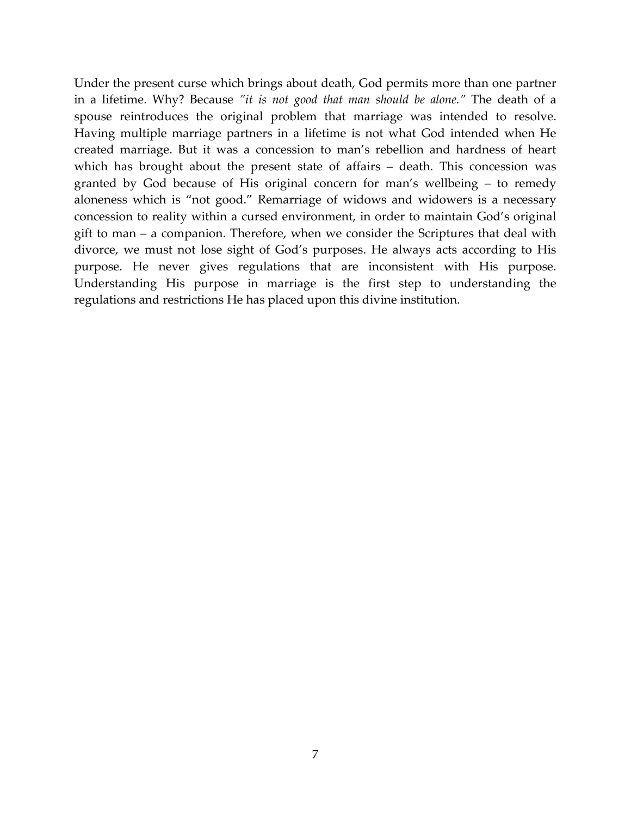Under the present curse which brings about death, God permits more than one partner in a lifetime. Why? Because *"it is not good that man should be alone."* The death of a spouse reintroduces the original problem that marriage was intended to resolve. Having multiple marriage partners in a lifetime is not what God intended when He created marriage. But it was a concession to man's rebellion and hardness of heart which has brought about the present state of affairs – death. This concession was granted by God because of His original concern for man's wellbeing – to remedy aloneness which is "not good." Remarriage of widows and widowers is a necessary concession to reality within a cursed environment, in order to maintain God's original gift to man – a companion. Therefore, when we consider the Scriptures that deal with divorce, we must not lose sight of God's purposes. He always acts according to His purpose. He never gives regulations that are inconsistent with His purpose. Understanding His purpose in marriage is the first step to understanding the regulations and restrictions He has placed upon this divine institution.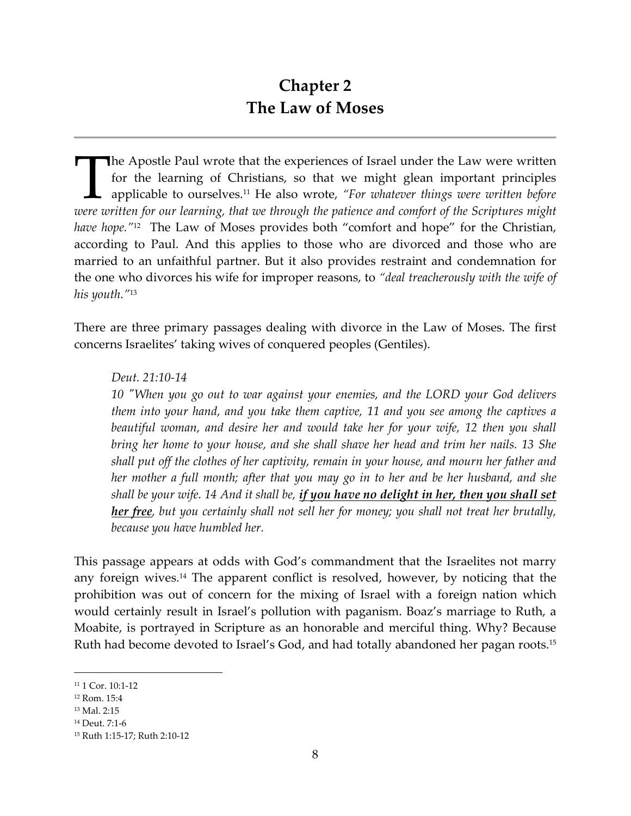### **Chapter 2 The Law of Moses**

**The Apostle Paul wrote that the experiences of Israel under the Law were written** for the learning of Christians, so that we might glean important principles applicable to ourselves.11 He also wrote, *"For whatever things were written before*  **IDENTIFY THE APOSTEE PAUL WROTE THE APOSTEE PAUL WROTE AND FOR THE APOSTEE APPLICABLE APPLICABLE APPLICABLE APPLICABLE APPLICABLE APPLICABLE APPLICABLE APPLICABLE APPLICABLE APPLICABLE APPLICABLE APPLICABLE AND WELL THE A** *have hope.*"<sup>12</sup> The Law of Moses provides both "comfort and hope" for the Christian, according to Paul. And this applies to those who are divorced and those who are married to an unfaithful partner. But it also provides restraint and condemnation for the one who divorces his wife for improper reasons, to *"deal treacherously with the wife of his youth."*<sup>13</sup>

There are three primary passages dealing with divorce in the Law of Moses. The first concerns Israelites' taking wives of conquered peoples (Gentiles).

#### *Deut. 21:10-14*

*10 "When you go out to war against your enemies, and the LORD your God delivers them into your hand, and you take them captive, 11 and you see among the captives a beautiful woman, and desire her and would take her for your wife, 12 then you shall bring her home to your house, and she shall shave her head and trim her nails. 13 She shall put off the clothes of her captivity, remain in your house, and mourn her father and her mother a full month; after that you may go in to her and be her husband, and she shall be your wife. 14 And it shall be, if you have no delight in her, then you shall set her free, but you certainly shall not sell her for money; you shall not treat her brutally, because you have humbled her.* 

This passage appears at odds with God's commandment that the Israelites not marry any foreign wives.14 The apparent conflict is resolved, however, by noticing that the prohibition was out of concern for the mixing of Israel with a foreign nation which would certainly result in Israel's pollution with paganism. Boaz's marriage to Ruth, a Moabite, is portrayed in Scripture as an honorable and merciful thing. Why? Because Ruth had become devoted to Israel's God, and had totally abandoned her pagan roots.<sup>15</sup>

<sup>&</sup>lt;sup>11</sup> 1 Cor. 10:1-12

<sup>12</sup> Rom. 15:4

<sup>13</sup> Mal. 2:15

<sup>14</sup> Deut. 7:1-6

<sup>15</sup> Ruth 1:15-17; Ruth 2:10-12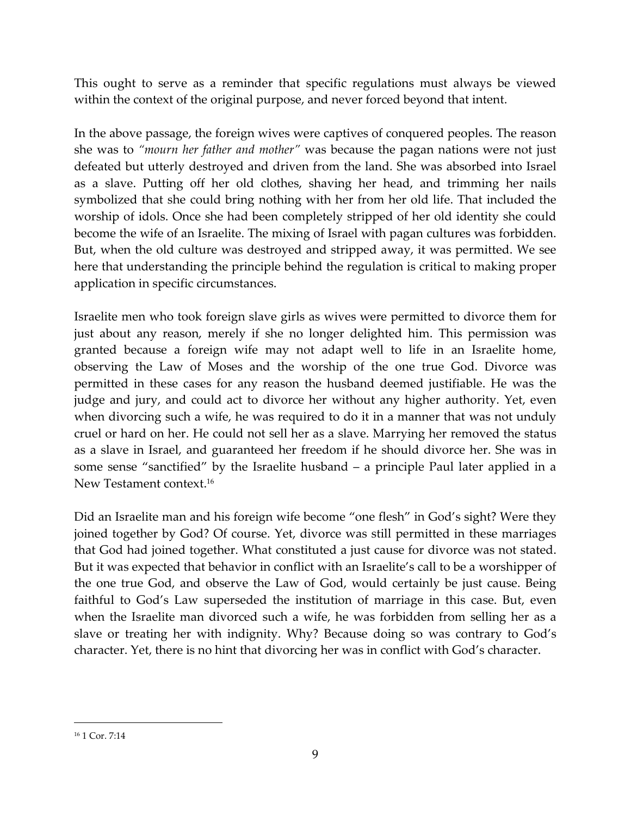This ought to serve as a reminder that specific regulations must always be viewed within the context of the original purpose, and never forced beyond that intent.

In the above passage, the foreign wives were captives of conquered peoples. The reason she was to *"mourn her father and mother"* was because the pagan nations were not just defeated but utterly destroyed and driven from the land. She was absorbed into Israel as a slave. Putting off her old clothes, shaving her head, and trimming her nails symbolized that she could bring nothing with her from her old life. That included the worship of idols. Once she had been completely stripped of her old identity she could become the wife of an Israelite. The mixing of Israel with pagan cultures was forbidden. But, when the old culture was destroyed and stripped away, it was permitted. We see here that understanding the principle behind the regulation is critical to making proper application in specific circumstances.

Israelite men who took foreign slave girls as wives were permitted to divorce them for just about any reason, merely if she no longer delighted him. This permission was granted because a foreign wife may not adapt well to life in an Israelite home, observing the Law of Moses and the worship of the one true God. Divorce was permitted in these cases for any reason the husband deemed justifiable. He was the judge and jury, and could act to divorce her without any higher authority. Yet, even when divorcing such a wife, he was required to do it in a manner that was not unduly cruel or hard on her. He could not sell her as a slave. Marrying her removed the status as a slave in Israel, and guaranteed her freedom if he should divorce her. She was in some sense "sanctified" by the Israelite husband – a principle Paul later applied in a New Testament context.<sup>16</sup>

Did an Israelite man and his foreign wife become "one flesh" in God's sight? Were they joined together by God? Of course. Yet, divorce was still permitted in these marriages that God had joined together. What constituted a just cause for divorce was not stated. But it was expected that behavior in conflict with an Israelite's call to be a worshipper of the one true God, and observe the Law of God, would certainly be just cause. Being faithful to God's Law superseded the institution of marriage in this case. But, even when the Israelite man divorced such a wife, he was forbidden from selling her as a slave or treating her with indignity. Why? Because doing so was contrary to God's character. Yet, there is no hint that divorcing her was in conflict with God's character.

<sup>16</sup> 1 Cor. 7:14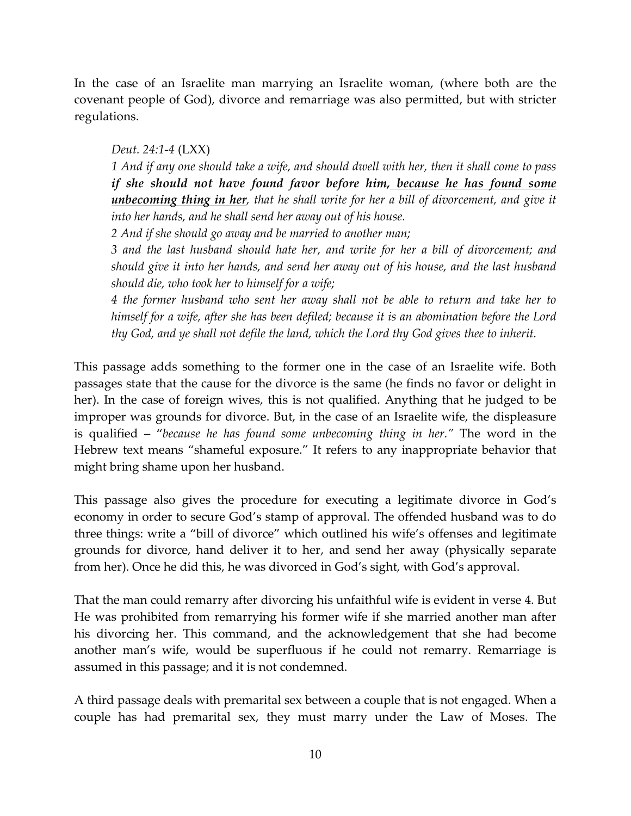In the case of an Israelite man marrying an Israelite woman, (where both are the covenant people of God), divorce and remarriage was also permitted, but with stricter regulations.

#### *Deut. 24:1-4* (LXX)

*1 And if any one should take a wife, and should dwell with her, then it shall come to pass if she should not have found favor before him, because he has found some unbecoming thing in her, that he shall write for her a bill of divorcement, and give it into her hands, and he shall send her away out of his house.* 

*2 And if she should go away and be married to another man;* 

*3 and the last husband should hate her, and write for her a bill of divorcement; and should give it into her hands, and send her away out of his house, and the last husband should die, who took her to himself for a wife;* 

*4 the former husband who sent her away shall not be able to return and take her to himself for a wife, after she has been defiled; because it is an abomination before the Lord thy God, and ye shall not defile the land, which the Lord thy God gives thee to inherit.* 

This passage adds something to the former one in the case of an Israelite wife. Both passages state that the cause for the divorce is the same (he finds no favor or delight in her). In the case of foreign wives, this is not qualified. Anything that he judged to be improper was grounds for divorce. But, in the case of an Israelite wife, the displeasure is qualified – "*because he has found some unbecoming thing in her."* The word in the Hebrew text means "shameful exposure." It refers to any inappropriate behavior that might bring shame upon her husband.

This passage also gives the procedure for executing a legitimate divorce in God's economy in order to secure God's stamp of approval. The offended husband was to do three things: write a "bill of divorce" which outlined his wife's offenses and legitimate grounds for divorce, hand deliver it to her, and send her away (physically separate from her). Once he did this, he was divorced in God's sight, with God's approval.

That the man could remarry after divorcing his unfaithful wife is evident in verse 4. But He was prohibited from remarrying his former wife if she married another man after his divorcing her. This command, and the acknowledgement that she had become another man's wife, would be superfluous if he could not remarry. Remarriage is assumed in this passage; and it is not condemned.

A third passage deals with premarital sex between a couple that is not engaged. When a couple has had premarital sex, they must marry under the Law of Moses. The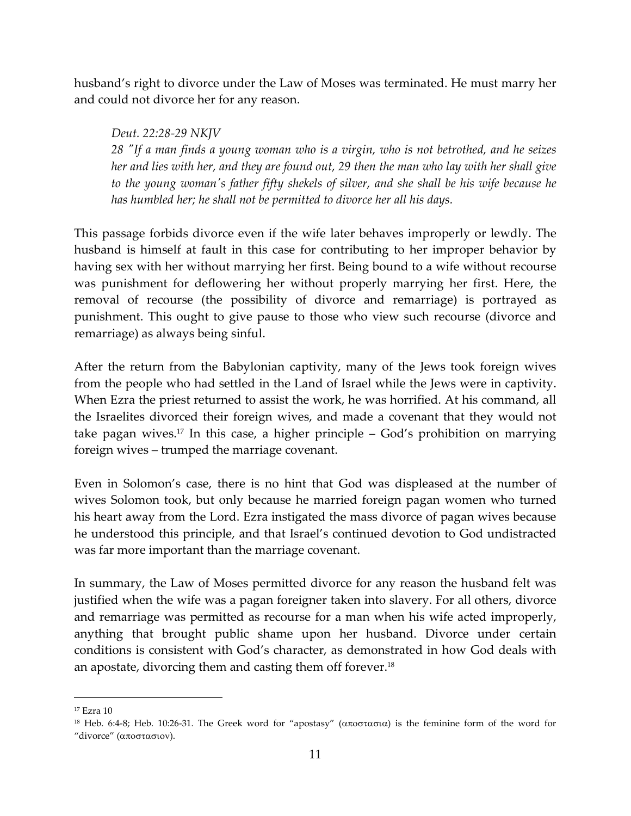husband's right to divorce under the Law of Moses was terminated. He must marry her and could not divorce her for any reason.

*Deut. 22:28-29 NKJV 28 "If a man finds a young woman who is a virgin, who is not betrothed, and he seizes her and lies with her, and they are found out, 29 then the man who lay with her shall give to the young woman's father fifty shekels of silver, and she shall be his wife because he has humbled her; he shall not be permitted to divorce her all his days.* 

This passage forbids divorce even if the wife later behaves improperly or lewdly. The husband is himself at fault in this case for contributing to her improper behavior by having sex with her without marrying her first. Being bound to a wife without recourse was punishment for deflowering her without properly marrying her first. Here, the removal of recourse (the possibility of divorce and remarriage) is portrayed as punishment. This ought to give pause to those who view such recourse (divorce and remarriage) as always being sinful.

After the return from the Babylonian captivity, many of the Jews took foreign wives from the people who had settled in the Land of Israel while the Jews were in captivity. When Ezra the priest returned to assist the work, he was horrified. At his command, all the Israelites divorced their foreign wives, and made a covenant that they would not take pagan wives.17 In this case, a higher principle – God's prohibition on marrying foreign wives – trumped the marriage covenant.

Even in Solomon's case, there is no hint that God was displeased at the number of wives Solomon took, but only because he married foreign pagan women who turned his heart away from the Lord. Ezra instigated the mass divorce of pagan wives because he understood this principle, and that Israel's continued devotion to God undistracted was far more important than the marriage covenant.

In summary, the Law of Moses permitted divorce for any reason the husband felt was justified when the wife was a pagan foreigner taken into slavery. For all others, divorce and remarriage was permitted as recourse for a man when his wife acted improperly, anything that brought public shame upon her husband. Divorce under certain conditions is consistent with God's character, as demonstrated in how God deals with an apostate, divorcing them and casting them off forever.<sup>18</sup>

l

<sup>17</sup> Ezra 10

<sup>&</sup>lt;sup>18</sup> Heb. 6:4-8; Heb. 10:26-31. The Greek word for "apostasy" (αποστασια) is the feminine form of the word for "divorce" (αποστασιον).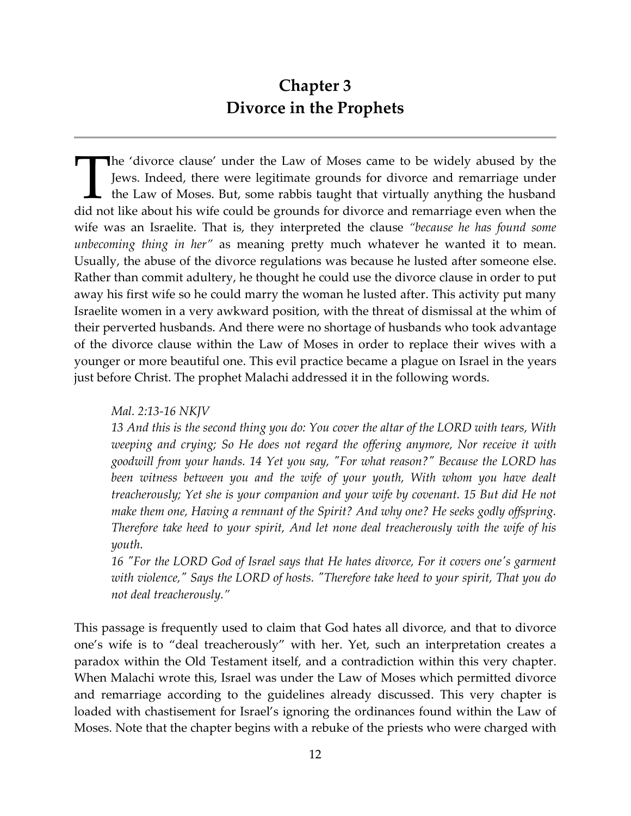### **Chapter 3 Divorce in the Prophets**

he 'divorce clause' under the Law of Moses came to be widely abused by the Jews. Indeed, there were legitimate grounds for divorce and remarriage under the Law of Moses. But, some rabbis taught that virtually anything the husband The 'divorce clause' under the Law of Moses came to be widely abused by the Jews. Indeed, there were legitimate grounds for divorce and remarriage under the Law of Moses. But, some rabbis taught that virtually anything the wife was an Israelite. That is, they interpreted the clause *"because he has found some unbecoming thing in her"* as meaning pretty much whatever he wanted it to mean. Usually, the abuse of the divorce regulations was because he lusted after someone else. Rather than commit adultery, he thought he could use the divorce clause in order to put away his first wife so he could marry the woman he lusted after. This activity put many Israelite women in a very awkward position, with the threat of dismissal at the whim of their perverted husbands. And there were no shortage of husbands who took advantage of the divorce clause within the Law of Moses in order to replace their wives with a younger or more beautiful one. This evil practice became a plague on Israel in the years just before Christ. The prophet Malachi addressed it in the following words.

#### *Mal. 2:13-16 NKJV*

*13 And this is the second thing you do: You cover the altar of the LORD with tears, With weeping and crying; So He does not regard the offering anymore, Nor receive it with goodwill from your hands. 14 Yet you say, "For what reason?" Because the LORD has been witness between you and the wife of your youth, With whom you have dealt treacherously; Yet she is your companion and your wife by covenant. 15 But did He not make them one, Having a remnant of the Spirit? And why one? He seeks godly offspring. Therefore take heed to your spirit, And let none deal treacherously with the wife of his youth.* 

*16 "For the LORD God of Israel says that He hates divorce, For it covers one's garment with violence," Says the LORD of hosts. "Therefore take heed to your spirit, That you do not deal treacherously."* 

This passage is frequently used to claim that God hates all divorce, and that to divorce one's wife is to "deal treacherously" with her. Yet, such an interpretation creates a paradox within the Old Testament itself, and a contradiction within this very chapter. When Malachi wrote this, Israel was under the Law of Moses which permitted divorce and remarriage according to the guidelines already discussed. This very chapter is loaded with chastisement for Israel's ignoring the ordinances found within the Law of Moses. Note that the chapter begins with a rebuke of the priests who were charged with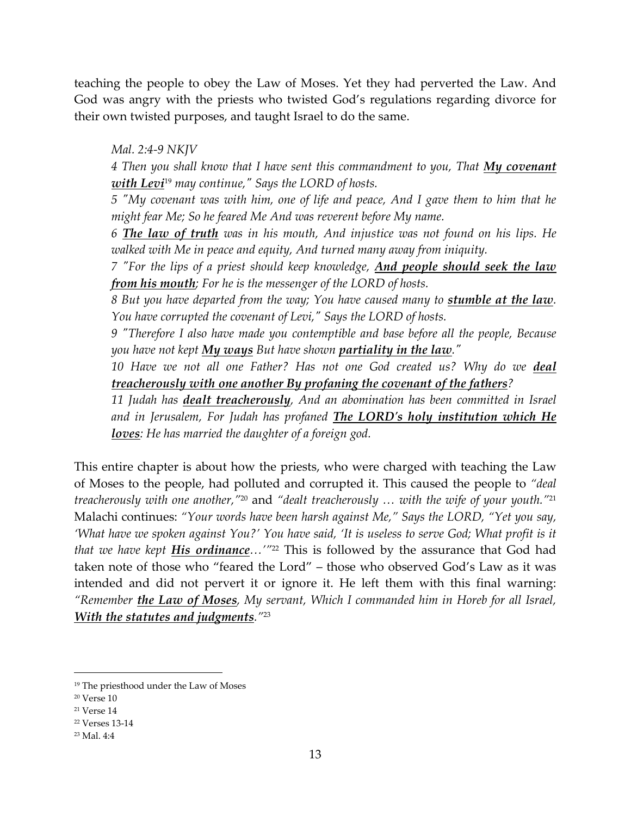teaching the people to obey the Law of Moses. Yet they had perverted the Law. And God was angry with the priests who twisted God's regulations regarding divorce for their own twisted purposes, and taught Israel to do the same.

*Mal. 2:4-9 NKJV* 

*4 Then you shall know that I have sent this commandment to you, That My covenant with Levi*19 *may continue," Says the LORD of hosts.* 

*5 "My covenant was with him, one of life and peace, And I gave them to him that he might fear Me; So he feared Me And was reverent before My name.* 

*6 The law of truth was in his mouth, And injustice was not found on his lips. He walked with Me in peace and equity, And turned many away from iniquity.* 

*7 "For the lips of a priest should keep knowledge, And people should seek the law from his mouth; For he is the messenger of the LORD of hosts.* 

*8 But you have departed from the way; You have caused many to stumble at the law. You have corrupted the covenant of Levi," Says the LORD of hosts.* 

*9 "Therefore I also have made you contemptible and base before all the people, Because you have not kept My ways But have shown partiality in the law."* 

*10 Have we not all one Father? Has not one God created us? Why do we deal treacherously with one another By profaning the covenant of the fathers?* 

*11 Judah has dealt treacherously, And an abomination has been committed in Israel and in Jerusalem, For Judah has profaned The LORD's holy institution which He loves: He has married the daughter of a foreign god.* 

This entire chapter is about how the priests, who were charged with teaching the Law of Moses to the people, had polluted and corrupted it. This caused the people to *"deal treacherously with one another,"*20 and *"dealt treacherously … with the wife of your youth."* 21 Malachi continues: *"Your words have been harsh against Me," Says the LORD, "Yet you say, 'What have we spoken against You?' You have said, 'It is useless to serve God; What profit is it that we have kept His ordinance…'"*<sup>22</sup> This is followed by the assurance that God had taken note of those who "feared the Lord" – those who observed God's Law as it was intended and did not pervert it or ignore it. He left them with this final warning: *"Remember the Law of Moses, My servant, Which I commanded him in Horeb for all Israel, With the statutes and judgments."*<sup>23</sup>

l

<sup>19</sup> The priesthood under the Law of Moses

<sup>20</sup> Verse 10

<sup>21</sup> Verse 14

<sup>22</sup> Verses 13-14

<sup>23</sup> Mal. 4:4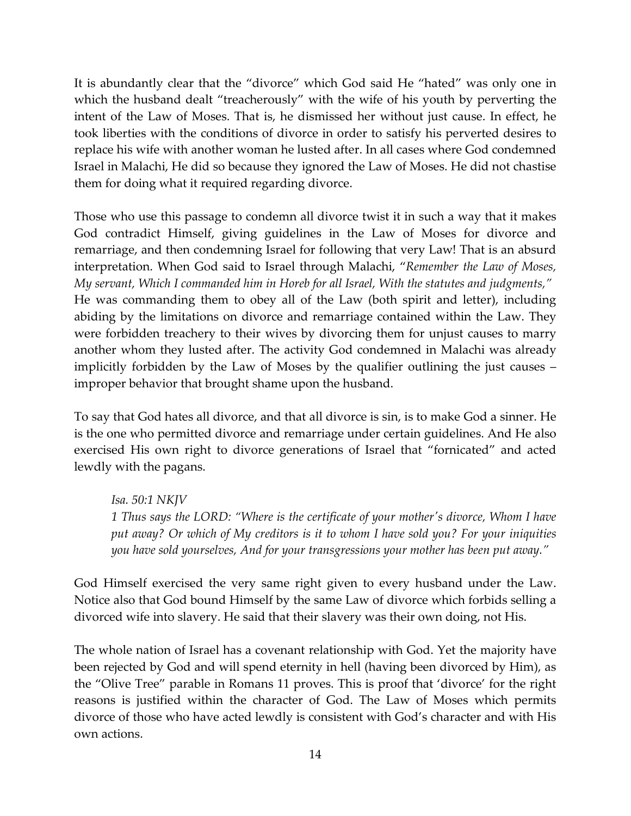It is abundantly clear that the "divorce" which God said He "hated" was only one in which the husband dealt "treacherously" with the wife of his youth by perverting the intent of the Law of Moses. That is, he dismissed her without just cause. In effect, he took liberties with the conditions of divorce in order to satisfy his perverted desires to replace his wife with another woman he lusted after. In all cases where God condemned Israel in Malachi, He did so because they ignored the Law of Moses. He did not chastise them for doing what it required regarding divorce.

Those who use this passage to condemn all divorce twist it in such a way that it makes God contradict Himself, giving guidelines in the Law of Moses for divorce and remarriage, and then condemning Israel for following that very Law! That is an absurd interpretation. When God said to Israel through Malachi, "*Remember the Law of Moses, My servant, Which I commanded him in Horeb for all Israel, With the statutes and judgments,"* He was commanding them to obey all of the Law (both spirit and letter), including abiding by the limitations on divorce and remarriage contained within the Law. They were forbidden treachery to their wives by divorcing them for unjust causes to marry another whom they lusted after. The activity God condemned in Malachi was already implicitly forbidden by the Law of Moses by the qualifier outlining the just causes – improper behavior that brought shame upon the husband.

To say that God hates all divorce, and that all divorce is sin, is to make God a sinner. He is the one who permitted divorce and remarriage under certain guidelines. And He also exercised His own right to divorce generations of Israel that "fornicated" and acted lewdly with the pagans.

*Isa. 50:1 NKJV 1 Thus says the LORD: "Where is the certificate of your mother's divorce, Whom I have put away? Or which of My creditors is it to whom I have sold you? For your iniquities you have sold yourselves, And for your transgressions your mother has been put away."* 

God Himself exercised the very same right given to every husband under the Law. Notice also that God bound Himself by the same Law of divorce which forbids selling a divorced wife into slavery. He said that their slavery was their own doing, not His.

The whole nation of Israel has a covenant relationship with God. Yet the majority have been rejected by God and will spend eternity in hell (having been divorced by Him), as the "Olive Tree" parable in Romans 11 proves. This is proof that 'divorce' for the right reasons is justified within the character of God. The Law of Moses which permits divorce of those who have acted lewdly is consistent with God's character and with His own actions.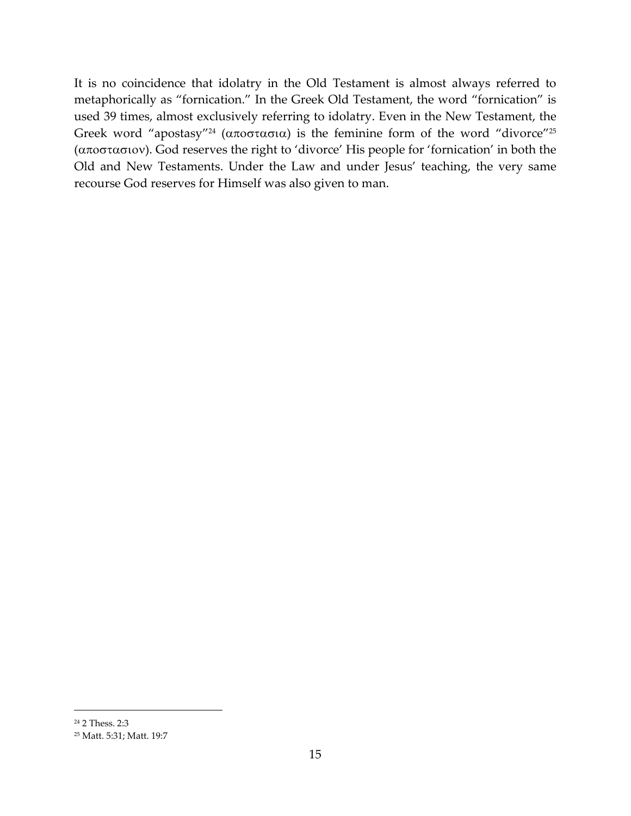It is no coincidence that idolatry in the Old Testament is almost always referred to metaphorically as "fornication." In the Greek Old Testament, the word "fornication" is used 39 times, almost exclusively referring to idolatry. Even in the New Testament, the Greek word "apostasy"<sup>24</sup> (αποστασια) is the feminine form of the word "divorce"<sup>25</sup> (αποστασιον). God reserves the right to 'divorce' His people for 'fornication' in both the Old and New Testaments. Under the Law and under Jesus' teaching, the very same recourse God reserves for Himself was also given to man.

<sup>24</sup> 2 Thess. 2:3

<sup>25</sup> Matt. 5:31; Matt. 19:7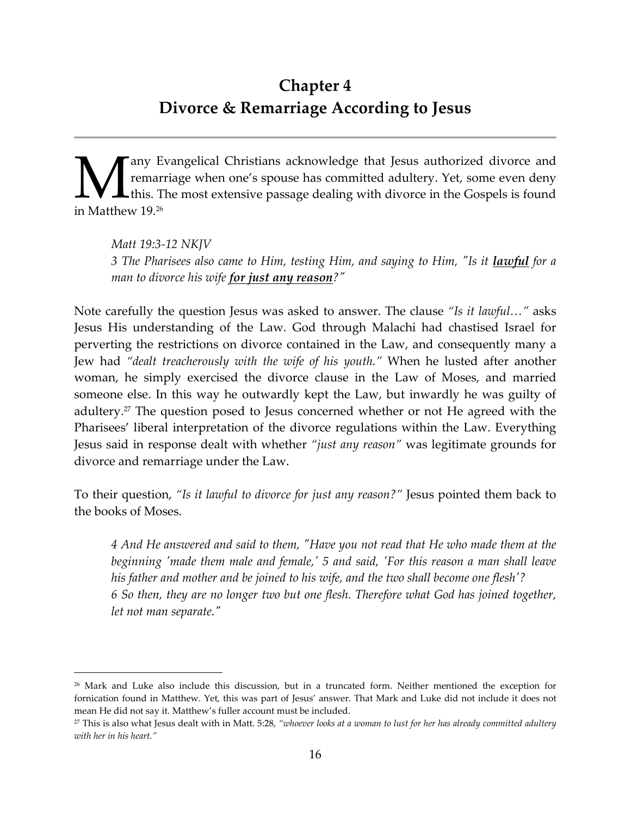### **Chapter 4 Divorce & Remarriage According to Jesus**

any Evangelical Christians acknowledge that Jesus authorized divorce and remarriage when one's spouse has committed adultery. Yet, some even deny this. The most extensive passage dealing with divorce in the Gospels is found  $\sum_{\rm this.\,T}^{\rm any\ E}_{\rm this.\,T}$ in Matthew 19.<sup>26</sup>

*Matt 19:3-12 NKJV 3 The Pharisees also came to Him, testing Him, and saying to Him, "Is it lawful for a man to divorce his wife for just any reason?"* 

Note carefully the question Jesus was asked to answer. The clause *"Is it lawful…"* asks Jesus His understanding of the Law. God through Malachi had chastised Israel for perverting the restrictions on divorce contained in the Law, and consequently many a Jew had *"dealt treacherously with the wife of his youth."* When he lusted after another woman, he simply exercised the divorce clause in the Law of Moses, and married someone else. In this way he outwardly kept the Law, but inwardly he was guilty of adultery.27 The question posed to Jesus concerned whether or not He agreed with the Pharisees' liberal interpretation of the divorce regulations within the Law. Everything Jesus said in response dealt with whether *"just any reason"* was legitimate grounds for divorce and remarriage under the Law.

To their question, *"Is it lawful to divorce for just any reason?"* Jesus pointed them back to the books of Moses.

*4 And He answered and said to them, "Have you not read that He who made them at the beginning 'made them male and female,' 5 and said, 'For this reason a man shall leave his father and mother and be joined to his wife, and the two shall become one flesh'? 6 So then, they are no longer two but one flesh. Therefore what God has joined together, let not man separate."* 

l

<sup>26</sup> Mark and Luke also include this discussion, but in a truncated form. Neither mentioned the exception for fornication found in Matthew. Yet, this was part of Jesus' answer. That Mark and Luke did not include it does not mean He did not say it. Matthew's fuller account must be included.

<sup>27</sup> This is also what Jesus dealt with in Matt. 5:28, *"whoever looks at a woman to lust for her has already committed adultery with her in his heart."*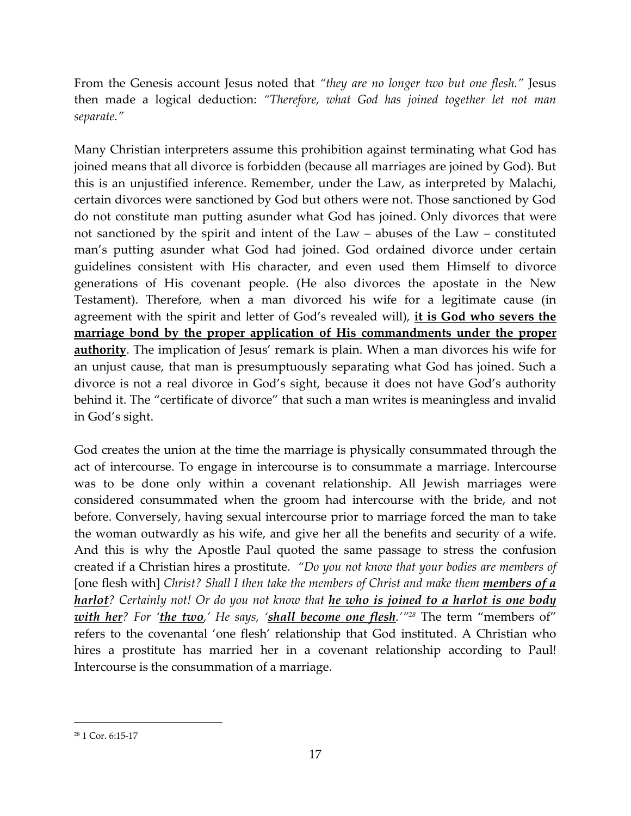From the Genesis account Jesus noted that *"they are no longer two but one flesh."* Jesus then made a logical deduction: *"Therefore, what God has joined together let not man separate."* 

Many Christian interpreters assume this prohibition against terminating what God has joined means that all divorce is forbidden (because all marriages are joined by God). But this is an unjustified inference. Remember, under the Law, as interpreted by Malachi, certain divorces were sanctioned by God but others were not. Those sanctioned by God do not constitute man putting asunder what God has joined. Only divorces that were not sanctioned by the spirit and intent of the Law – abuses of the Law – constituted man's putting asunder what God had joined. God ordained divorce under certain guidelines consistent with His character, and even used them Himself to divorce generations of His covenant people. (He also divorces the apostate in the New Testament). Therefore, when a man divorced his wife for a legitimate cause (in agreement with the spirit and letter of God's revealed will), **it is God who severs the marriage bond by the proper application of His commandments under the proper authority**. The implication of Jesus' remark is plain. When a man divorces his wife for an unjust cause, that man is presumptuously separating what God has joined. Such a divorce is not a real divorce in God's sight, because it does not have God's authority behind it. The "certificate of divorce" that such a man writes is meaningless and invalid in God's sight.

God creates the union at the time the marriage is physically consummated through the act of intercourse. To engage in intercourse is to consummate a marriage. Intercourse was to be done only within a covenant relationship. All Jewish marriages were considered consummated when the groom had intercourse with the bride, and not before. Conversely, having sexual intercourse prior to marriage forced the man to take the woman outwardly as his wife, and give her all the benefits and security of a wife. And this is why the Apostle Paul quoted the same passage to stress the confusion created if a Christian hires a prostitute. *"Do you not know that your bodies are members of*  [one flesh with] Christ? Shall I then take the members of Christ and make them **members of a** *harlot? Certainly not! Or do you not know that he who is joined to a harlot is one body with her? For 'the two,' He says, 'shall become one flesh.'"28* The term "members of" refers to the covenantal 'one flesh' relationship that God instituted. A Christian who hires a prostitute has married her in a covenant relationship according to Paul! Intercourse is the consummation of a marriage.

<sup>28</sup> 1 Cor. 6:15-17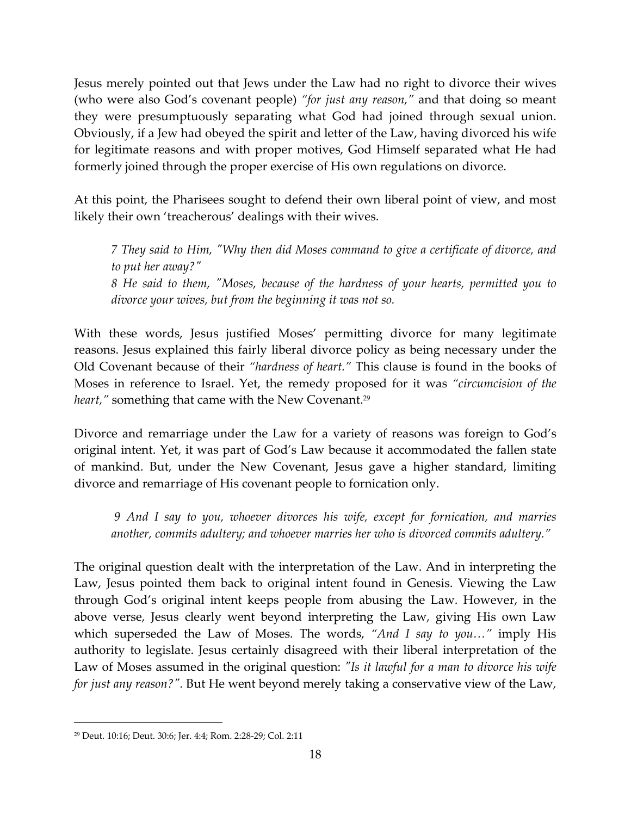Jesus merely pointed out that Jews under the Law had no right to divorce their wives (who were also God's covenant people) *"for just any reason,"* and that doing so meant they were presumptuously separating what God had joined through sexual union. Obviously, if a Jew had obeyed the spirit and letter of the Law, having divorced his wife for legitimate reasons and with proper motives, God Himself separated what He had formerly joined through the proper exercise of His own regulations on divorce.

At this point, the Pharisees sought to defend their own liberal point of view, and most likely their own 'treacherous' dealings with their wives.

*7 They said to Him, "Why then did Moses command to give a certificate of divorce, and to put her away?" 8 He said to them, "Moses, because of the hardness of your hearts, permitted you to divorce your wives, but from the beginning it was not so.* 

With these words, Jesus justified Moses' permitting divorce for many legitimate reasons. Jesus explained this fairly liberal divorce policy as being necessary under the Old Covenant because of their *"hardness of heart."* This clause is found in the books of Moses in reference to Israel. Yet, the remedy proposed for it was *"circumcision of the heart,"* something that came with the New Covenant.<sup>29</sup>

Divorce and remarriage under the Law for a variety of reasons was foreign to God's original intent. Yet, it was part of God's Law because it accommodated the fallen state of mankind. But, under the New Covenant, Jesus gave a higher standard, limiting divorce and remarriage of His covenant people to fornication only.

 *9 And I say to you, whoever divorces his wife, except for fornication, and marries another, commits adultery; and whoever marries her who is divorced commits adultery."* 

The original question dealt with the interpretation of the Law. And in interpreting the Law, Jesus pointed them back to original intent found in Genesis. Viewing the Law through God's original intent keeps people from abusing the Law. However, in the above verse, Jesus clearly went beyond interpreting the Law, giving His own Law which superseded the Law of Moses. The words, *"And I say to you…"* imply His authority to legislate. Jesus certainly disagreed with their liberal interpretation of the Law of Moses assumed in the original question: *"Is it lawful for a man to divorce his wife for just any reason?".* But He went beyond merely taking a conservative view of the Law,

<sup>29</sup> Deut. 10:16; Deut. 30:6; Jer. 4:4; Rom. 2:28-29; Col. 2:11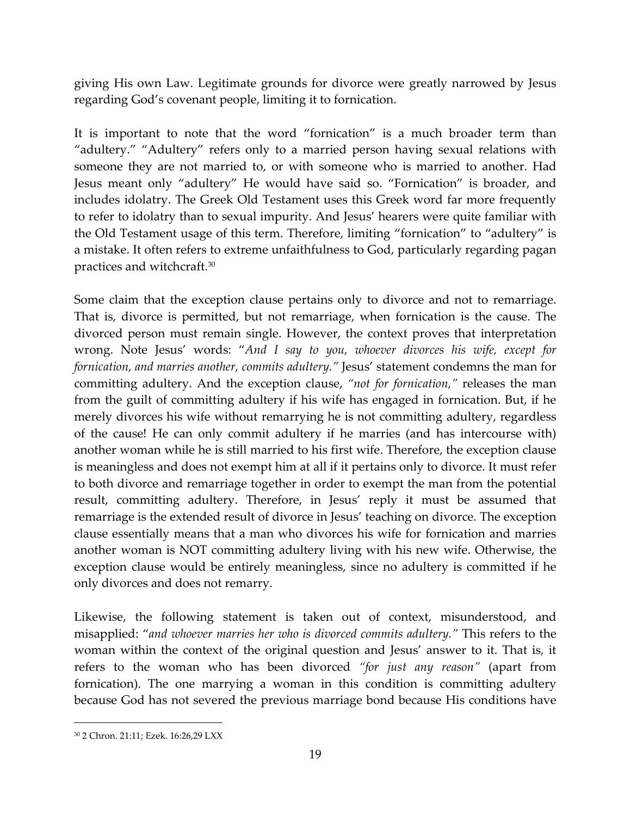giving His own Law. Legitimate grounds for divorce were greatly narrowed by Jesus regarding God's covenant people, limiting it to fornication.

It is important to note that the word "fornication" is a much broader term than "adultery." "Adultery" refers only to a married person having sexual relations with someone they are not married to, or with someone who is married to another. Had Jesus meant only "adultery" He would have said so. "Fornication" is broader, and includes idolatry. The Greek Old Testament uses this Greek word far more frequently to refer to idolatry than to sexual impurity. And Jesus' hearers were quite familiar with the Old Testament usage of this term. Therefore, limiting "fornication" to "adultery" is a mistake. It often refers to extreme unfaithfulness to God, particularly regarding pagan practices and witchcraft.<sup>30</sup>

Some claim that the exception clause pertains only to divorce and not to remarriage. That is, divorce is permitted, but not remarriage, when fornication is the cause. The divorced person must remain single. However, the context proves that interpretation wrong. Note Jesus' words: "*And I say to you, whoever divorces his wife, except for fornication, and marries another, commits adultery."* Jesus' statement condemns the man for committing adultery. And the exception clause, *"not for fornication,"* releases the man from the guilt of committing adultery if his wife has engaged in fornication. But, if he merely divorces his wife without remarrying he is not committing adultery, regardless of the cause! He can only commit adultery if he marries (and has intercourse with) another woman while he is still married to his first wife. Therefore, the exception clause is meaningless and does not exempt him at all if it pertains only to divorce. It must refer to both divorce and remarriage together in order to exempt the man from the potential result, committing adultery. Therefore, in Jesus' reply it must be assumed that remarriage is the extended result of divorce in Jesus' teaching on divorce. The exception clause essentially means that a man who divorces his wife for fornication and marries another woman is NOT committing adultery living with his new wife. Otherwise, the exception clause would be entirely meaningless, since no adultery is committed if he only divorces and does not remarry.

Likewise, the following statement is taken out of context, misunderstood, and misapplied: "*and whoever marries her who is divorced commits adultery."* This refers to the woman within the context of the original question and Jesus' answer to it. That is, it refers to the woman who has been divorced *"for just any reason"* (apart from fornication). The one marrying a woman in this condition is committing adultery because God has not severed the previous marriage bond because His conditions have

<sup>30</sup> 2 Chron. 21:11; Ezek. 16:26,29 LXX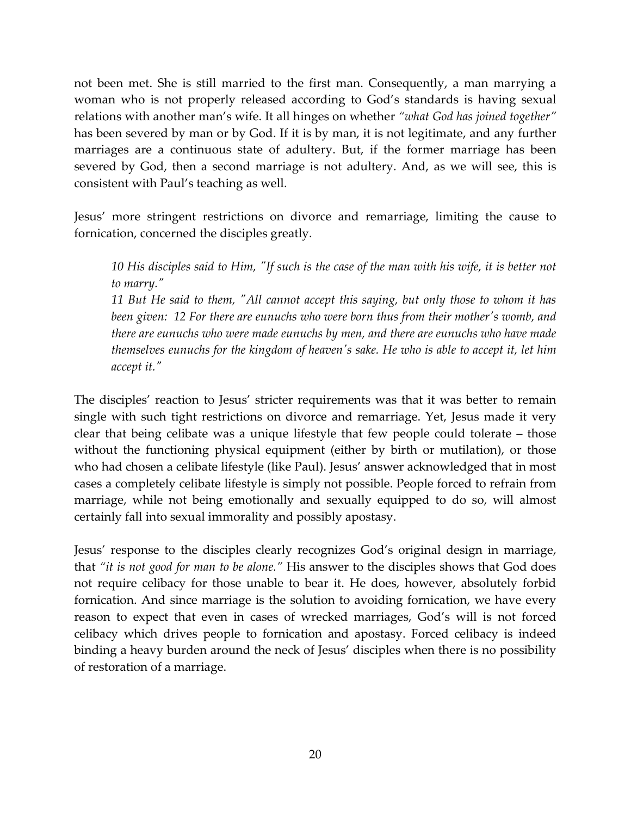not been met. She is still married to the first man. Consequently, a man marrying a woman who is not properly released according to God's standards is having sexual relations with another man's wife. It all hinges on whether *"what God has joined together"* has been severed by man or by God. If it is by man, it is not legitimate, and any further marriages are a continuous state of adultery. But, if the former marriage has been severed by God, then a second marriage is not adultery. And, as we will see, this is consistent with Paul's teaching as well.

Jesus' more stringent restrictions on divorce and remarriage, limiting the cause to fornication, concerned the disciples greatly.

*10 His disciples said to Him, "If such is the case of the man with his wife, it is better not to marry."* 

*11 But He said to them, "All cannot accept this saying, but only those to whom it has been given: 12 For there are eunuchs who were born thus from their mother's womb, and there are eunuchs who were made eunuchs by men, and there are eunuchs who have made themselves eunuchs for the kingdom of heaven's sake. He who is able to accept it, let him accept it."* 

The disciples' reaction to Jesus' stricter requirements was that it was better to remain single with such tight restrictions on divorce and remarriage. Yet, Jesus made it very clear that being celibate was a unique lifestyle that few people could tolerate – those without the functioning physical equipment (either by birth or mutilation), or those who had chosen a celibate lifestyle (like Paul). Jesus' answer acknowledged that in most cases a completely celibate lifestyle is simply not possible. People forced to refrain from marriage, while not being emotionally and sexually equipped to do so, will almost certainly fall into sexual immorality and possibly apostasy.

Jesus' response to the disciples clearly recognizes God's original design in marriage, that *"it is not good for man to be alone."* His answer to the disciples shows that God does not require celibacy for those unable to bear it. He does, however, absolutely forbid fornication. And since marriage is the solution to avoiding fornication, we have every reason to expect that even in cases of wrecked marriages, God's will is not forced celibacy which drives people to fornication and apostasy. Forced celibacy is indeed binding a heavy burden around the neck of Jesus' disciples when there is no possibility of restoration of a marriage.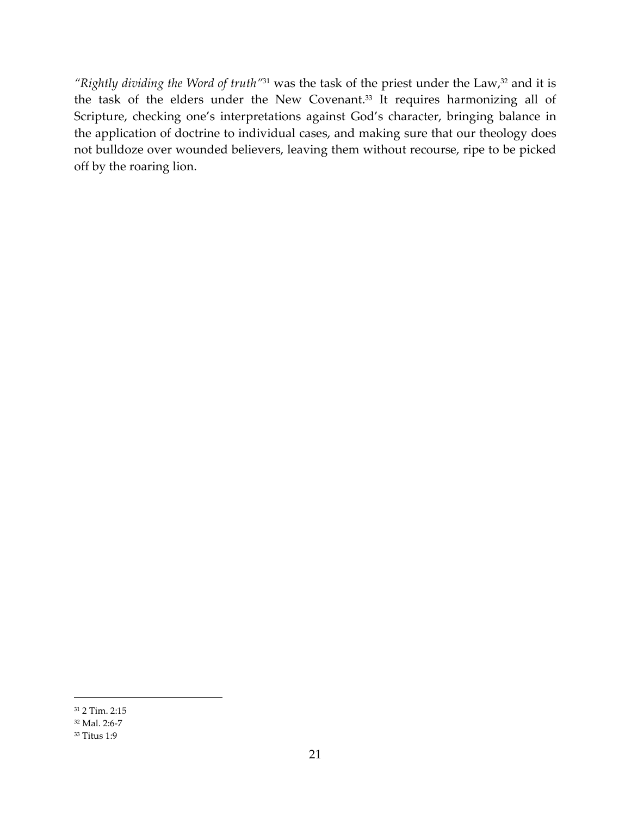*"Rightly dividing the Word of truth"*31 was the task of the priest under the Law,32 and it is the task of the elders under the New Covenant.<sup>33</sup> It requires harmonizing all of Scripture, checking one's interpretations against God's character, bringing balance in the application of doctrine to individual cases, and making sure that our theology does not bulldoze over wounded believers, leaving them without recourse, ripe to be picked off by the roaring lion.

<sup>-</sup><sup>31</sup> 2 Tim. 2:15

<sup>32</sup> Mal. 2:6-7

<sup>33</sup> Titus 1:9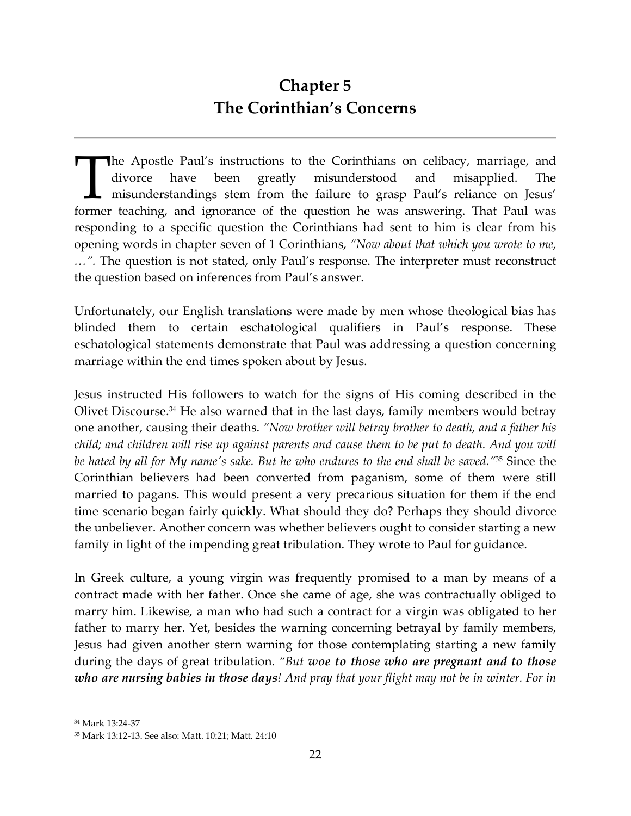## **Chapter 5 The Corinthian's Concerns**

he Apostle Paul's instructions to the Corinthians on celibacy, marriage, and divorce have been greatly misunderstood and misapplied. The misunderstandings stem from the failure to grasp Paul's reliance on Jesus' The Apostle Paul's instructions to the Corinthians on celibacy, marriage, and divorce have been greatly misunderstood and misapplied. The misunderstandings stem from the failure to grasp Paul's reliance on Jesus' former te responding to a specific question the Corinthians had sent to him is clear from his opening words in chapter seven of 1 Corinthians, *"Now about that which you wrote to me, …".* The question is not stated, only Paul's response. The interpreter must reconstruct the question based on inferences from Paul's answer.

Unfortunately, our English translations were made by men whose theological bias has blinded them to certain eschatological qualifiers in Paul's response. These eschatological statements demonstrate that Paul was addressing a question concerning marriage within the end times spoken about by Jesus.

Jesus instructed His followers to watch for the signs of His coming described in the Olivet Discourse.<sup>34</sup> He also warned that in the last days, family members would betray one another, causing their deaths. *"Now brother will betray brother to death, and a father his child; and children will rise up against parents and cause them to be put to death. And you will be hated by all for My name's sake. But he who endures to the end shall be saved."*35 Since the Corinthian believers had been converted from paganism, some of them were still married to pagans. This would present a very precarious situation for them if the end time scenario began fairly quickly. What should they do? Perhaps they should divorce the unbeliever. Another concern was whether believers ought to consider starting a new family in light of the impending great tribulation. They wrote to Paul for guidance.

In Greek culture, a young virgin was frequently promised to a man by means of a contract made with her father. Once she came of age, she was contractually obliged to marry him. Likewise, a man who had such a contract for a virgin was obligated to her father to marry her. Yet, besides the warning concerning betrayal by family members, Jesus had given another stern warning for those contemplating starting a new family during the days of great tribulation. *"But woe to those who are pregnant and to those who are nursing babies in those days! And pray that your flight may not be in winter. For in* 

l

<sup>34</sup> Mark 13:24-37

<sup>35</sup> Mark 13:12-13. See also: Matt. 10:21; Matt. 24:10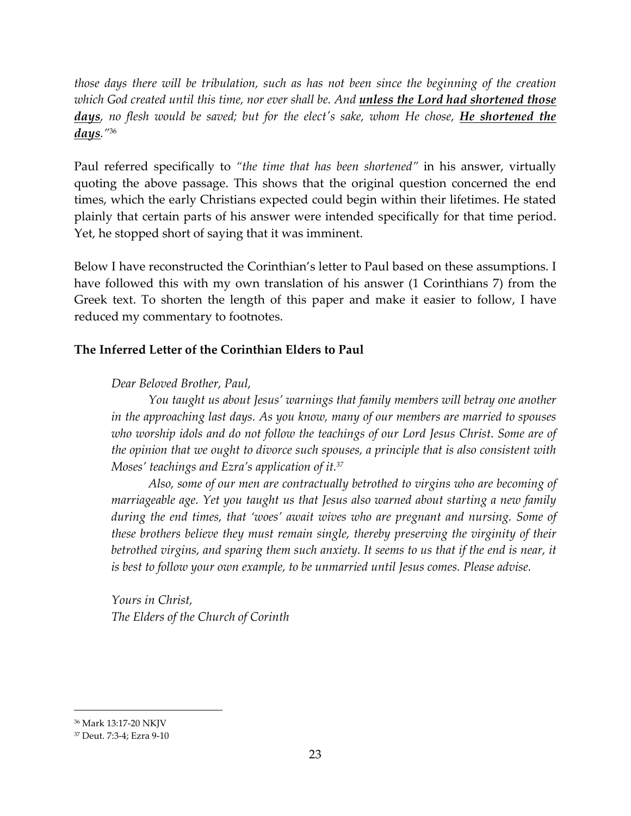*those days there will be tribulation, such as has not been since the beginning of the creation which God created until this time, nor ever shall be. And unless the Lord had shortened those days, no flesh would be saved; but for the elect's sake, whom He chose, He shortened the days."*<sup>36</sup>

Paul referred specifically to *"the time that has been shortened"* in his answer, virtually quoting the above passage. This shows that the original question concerned the end times, which the early Christians expected could begin within their lifetimes. He stated plainly that certain parts of his answer were intended specifically for that time period. Yet, he stopped short of saying that it was imminent.

Below I have reconstructed the Corinthian's letter to Paul based on these assumptions. I have followed this with my own translation of his answer (1 Corinthians 7) from the Greek text. To shorten the length of this paper and make it easier to follow, I have reduced my commentary to footnotes.

#### **The Inferred Letter of the Corinthian Elders to Paul**

#### *Dear Beloved Brother, Paul,*

*You taught us about Jesus' warnings that family members will betray one another in the approaching last days. As you know, many of our members are married to spouses who worship idols and do not follow the teachings of our Lord Jesus Christ. Some are of the opinion that we ought to divorce such spouses, a principle that is also consistent with Moses' teachings and Ezra's application of it.<sup>37</sup>* 

*Also, some of our men are contractually betrothed to virgins who are becoming of marriageable age. Yet you taught us that Jesus also warned about starting a new family during the end times, that 'woes' await wives who are pregnant and nursing. Some of these brothers believe they must remain single, thereby preserving the virginity of their*  betrothed virgins, and sparing them such anxiety. It seems to us that if the end is near, it *is best to follow your own example, to be unmarried until Jesus comes. Please advise.* 

*Yours in Christ, The Elders of the Church of Corinth* 

l

<sup>36</sup> Mark 13:17-20 NKJV

<sup>37</sup> Deut. 7:3-4; Ezra 9-10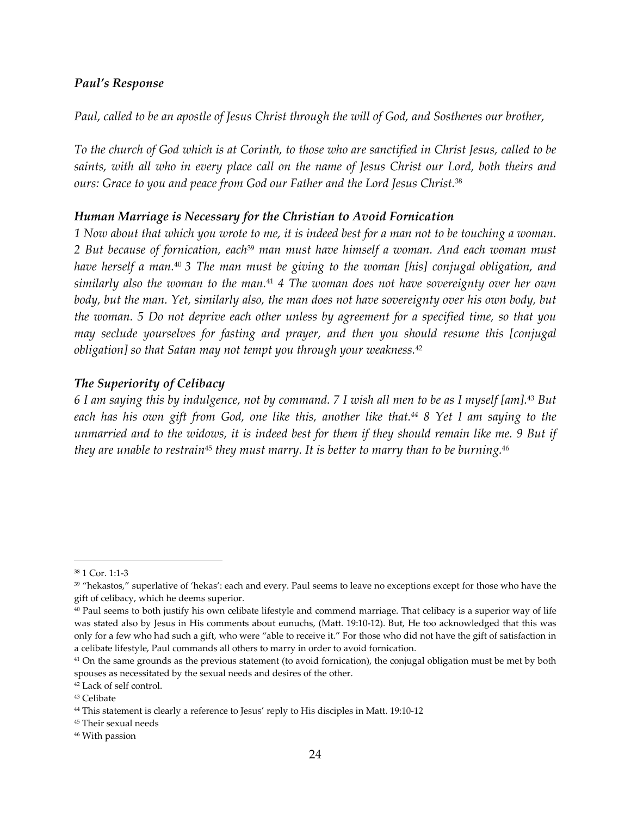#### *Paul's Response*

*Paul, called to be an apostle of Jesus Christ through the will of God, and Sosthenes our brother,* 

*To the church of God which is at Corinth, to those who are sanctified in Christ Jesus, called to be saints, with all who in every place call on the name of Jesus Christ our Lord, both theirs and ours: Grace to you and peace from God our Father and the Lord Jesus Christ.*<sup>38</sup>

#### *Human Marriage is Necessary for the Christian to Avoid Fornication*

*1 Now about that which you wrote to me, it is indeed best for a man not to be touching a woman. 2 But because of fornication, each*39 *man must have himself a woman. And each woman must have herself a man.*<sup>40</sup> *3 The man must be giving to the woman [his] conjugal obligation, and similarly also the woman to the man.*41 *4 The woman does not have sovereignty over her own body, but the man. Yet, similarly also, the man does not have sovereignty over his own body, but the woman. 5 Do not deprive each other unless by agreement for a specified time, so that you may seclude yourselves for fasting and prayer, and then you should resume this [conjugal obligation] so that Satan may not tempt you through your weakness.*<sup>42</sup>

#### *The Superiority of Celibacy*

*6 I am saying this by indulgence, not by command. 7 I wish all men to be as I myself [am].*43 *But each has his own gift from God, one like this, another like that.44 8 Yet I am saying to the unmarried and to the widows, it is indeed best for them if they should remain like me. 9 But if they are unable to restrain*45 *they must marry. It is better to marry than to be burning.*<sup>46</sup>

l

<sup>45</sup> Their sexual needs

<sup>38</sup> 1 Cor. 1:1-3

<sup>&</sup>lt;sup>39</sup> "hekastos," superlative of 'hekas': each and every. Paul seems to leave no exceptions except for those who have the gift of celibacy, which he deems superior.

<sup>40</sup> Paul seems to both justify his own celibate lifestyle and commend marriage. That celibacy is a superior way of life was stated also by Jesus in His comments about eunuchs, (Matt. 19:10-12). But, He too acknowledged that this was only for a few who had such a gift, who were "able to receive it." For those who did not have the gift of satisfaction in a celibate lifestyle, Paul commands all others to marry in order to avoid fornication.

 $41$  On the same grounds as the previous statement (to avoid fornication), the conjugal obligation must be met by both spouses as necessitated by the sexual needs and desires of the other.

<sup>42</sup> Lack of self control.

<sup>43</sup> Celibate

<sup>44</sup> This statement is clearly a reference to Jesus' reply to His disciples in Matt. 19:10-12

<sup>46</sup> With passion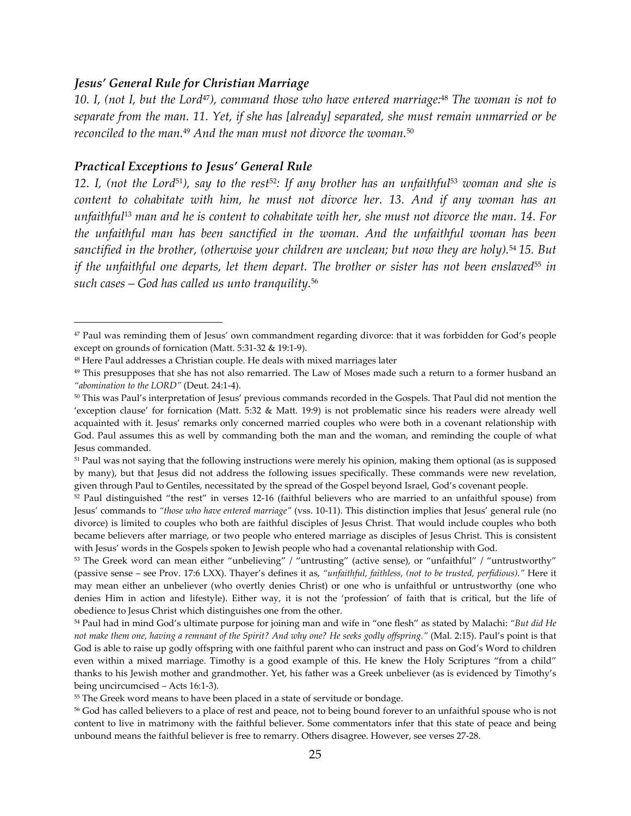#### *Jesus' General Rule for Christian Marriage*

*10. I, (not I, but the Lord*47*), command those who have entered marriage:*48 *The woman is not to separate from the man. 11. Yet, if she has [already] separated, she must remain unmarried or be reconciled to the man.*49 *And the man must not divorce the woman.*<sup>50</sup>

#### *Practical Exceptions to Jesus' General Rule*

 $\overline{a}$ 

*12. I, (not the Lord*51*), say to the rest*52*: If any brother has an unfaithful*53 *woman and she is content to cohabitate with him, he must not divorce her. 13. And if any woman has an unfaithful*13 *man and he is content to cohabitate with her, she must not divorce the man. 14. For the unfaithful man has been sanctified in the woman. And the unfaithful woman has been sanctified in the brother, (otherwise your children are unclean; but now they are holy).*54 *15. But if the unfaithful one departs, let them depart. The brother or sister has not been enslaved*<sup>55</sup> in *such cases – God has called us unto tranquility.*<sup>56</sup>

<sup>47</sup> Paul was reminding them of Jesus' own commandment regarding divorce: that it was forbidden for God's people except on grounds of fornication (Matt. 5:31-32 & 19:1-9).

<sup>48</sup> Here Paul addresses a Christian couple. He deals with mixed marriages later

<sup>&</sup>lt;sup>49</sup> This presupposes that she has not also remarried. The Law of Moses made such a return to a former husband an *"abomination to the LORD"* (Deut. 24:1-4).

<sup>50</sup> This was Paul's interpretation of Jesus' previous commands recorded in the Gospels. That Paul did not mention the 'exception clause' for fornication (Matt. 5:32 & Matt. 19:9) is not problematic since his readers were already well acquainted with it. Jesus' remarks only concerned married couples who were both in a covenant relationship with God. Paul assumes this as well by commanding both the man and the woman, and reminding the couple of what Jesus commanded.

<sup>&</sup>lt;sup>51</sup> Paul was not saying that the following instructions were merely his opinion, making them optional (as is supposed by many), but that Jesus did not address the following issues specifically. These commands were new revelation, given through Paul to Gentiles, necessitated by the spread of the Gospel beyond Israel, God's covenant people.

<sup>52</sup> Paul distinguished "the rest" in verses 12-16 (faithful believers who are married to an unfaithful spouse) from Jesus' commands to *"those who have entered marriage"* (vss. 10-11). This distinction implies that Jesus' general rule (no divorce) is limited to couples who both are faithful disciples of Jesus Christ. That would include couples who both became believers after marriage, or two people who entered marriage as disciples of Jesus Christ. This is consistent with Jesus' words in the Gospels spoken to Jewish people who had a covenantal relationship with God.

<sup>53</sup> The Greek word can mean either "unbelieving" / "untrusting" (active sense), or "unfaithful" / "untrustworthy" (passive sense – see Prov. 17:6 LXX). Thayer's defines it as, *"unfaithful, faithless, (not to be trusted, perfidious)."* Here it may mean either an unbeliever (who overtly denies Christ) or one who is unfaithful or untrustworthy (one who denies Him in action and lifestyle). Either way, it is not the 'profession' of faith that is critical, but the life of obedience to Jesus Christ which distinguishes one from the other.

<sup>54</sup> Paul had in mind God's ultimate purpose for joining man and wife in "one flesh" as stated by Malachi: *"But did He not make them one, having a remnant of the Spirit? And why one? He seeks godly offspring."* (Mal. 2:15). Paul's point is that God is able to raise up godly offspring with one faithful parent who can instruct and pass on God's Word to children even within a mixed marriage. Timothy is a good example of this. He knew the Holy Scriptures "from a child" thanks to his Jewish mother and grandmother. Yet, his father was a Greek unbeliever (as is evidenced by Timothy's being uncircumcised – Acts 16:1-3).

<sup>&</sup>lt;sup>55</sup> The Greek word means to have been placed in a state of servitude or bondage.

<sup>56</sup> God has called believers to a place of rest and peace, not to being bound forever to an unfaithful spouse who is not content to live in matrimony with the faithful believer. Some commentators infer that this state of peace and being unbound means the faithful believer is free to remarry. Others disagree. However, see verses 27-28.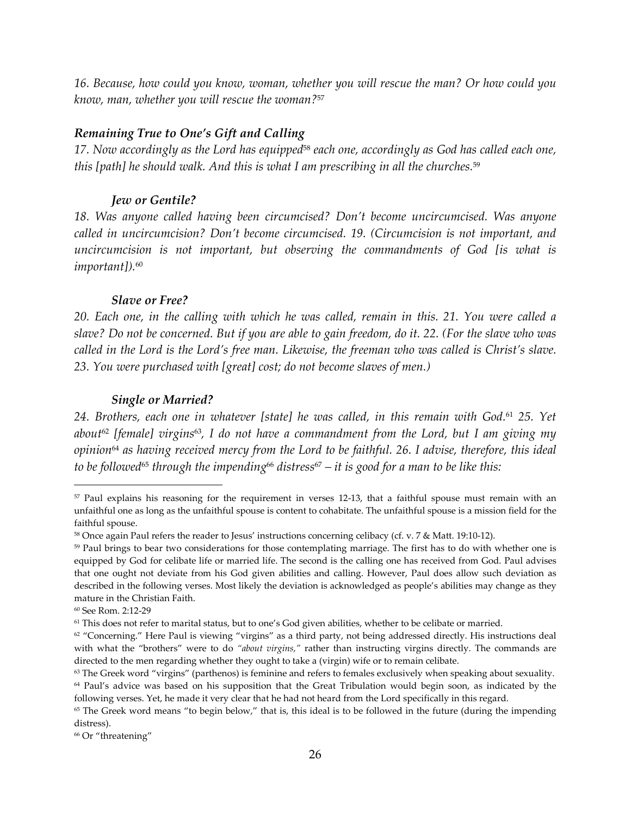*16. Because, how could you know, woman, whether you will rescue the man? Or how could you know, man, whether you will rescue the woman?*<sup>57</sup>

#### *Remaining True to One's Gift and Calling*

*17. Now accordingly as the Lord has equipped*58 *each one, accordingly as God has called each one, this [path] he should walk. And this is what I am prescribing in all the churches.*<sup>59</sup> 

#### *Jew or Gentile?*

*18. Was anyone called having been circumcised? Don't become uncircumcised. Was anyone called in uncircumcision? Don't become circumcised. 19. (Circumcision is not important, and uncircumcision is not important, but observing the commandments of God [is what is important]).*<sup>60</sup>

#### *Slave or Free?*

*20. Each one, in the calling with which he was called, remain in this. 21. You were called a slave? Do not be concerned. But if you are able to gain freedom, do it. 22. (For the slave who was called in the Lord is the Lord's free man. Likewise, the freeman who was called is Christ's slave. 23. You were purchased with [great] cost; do not become slaves of men.)* 

#### *Single or Married?*

*24. Brothers, each one in whatever [state] he was called, in this remain with God.*61 *25. Yet about*<sup>62</sup> *[female] virgins*63*, I do not have a commandment from the Lord, but I am giving my opinion*64 *as having received mercy from the Lord to be faithful. 26. I advise, therefore, this ideal to be followed*65 *through the impending*66 *distress*67 *– it is good for a man to be like this:* 

<sup>57</sup> Paul explains his reasoning for the requirement in verses 12-13, that a faithful spouse must remain with an unfaithful one as long as the unfaithful spouse is content to cohabitate. The unfaithful spouse is a mission field for the faithful spouse.

<sup>58</sup> Once again Paul refers the reader to Jesus' instructions concerning celibacy (cf. v. 7 & Matt. 19:10-12).

<sup>&</sup>lt;sup>59</sup> Paul brings to bear two considerations for those contemplating marriage. The first has to do with whether one is equipped by God for celibate life or married life. The second is the calling one has received from God. Paul advises that one ought not deviate from his God given abilities and calling. However, Paul does allow such deviation as described in the following verses. Most likely the deviation is acknowledged as people's abilities may change as they mature in the Christian Faith.

<sup>60</sup> See Rom. 2:12-29

<sup>61</sup> This does not refer to marital status, but to one's God given abilities, whether to be celibate or married.

<sup>&</sup>lt;sup>62</sup> "Concerning." Here Paul is viewing "virgins" as a third party, not being addressed directly. His instructions deal with what the "brothers" were to do *"about virgins,"* rather than instructing virgins directly. The commands are directed to the men regarding whether they ought to take a (virgin) wife or to remain celibate.

 $63$  The Greek word "virgins" (parthenos) is feminine and refers to females exclusively when speaking about sexuality. <sup>64</sup> Paul's advice was based on his supposition that the Great Tribulation would begin soon, as indicated by the

following verses. Yet, he made it very clear that he had not heard from the Lord specifically in this regard.

 $65$  The Greek word means "to begin below," that is, this ideal is to be followed in the future (during the impending distress).

<sup>66</sup> Or "threatening"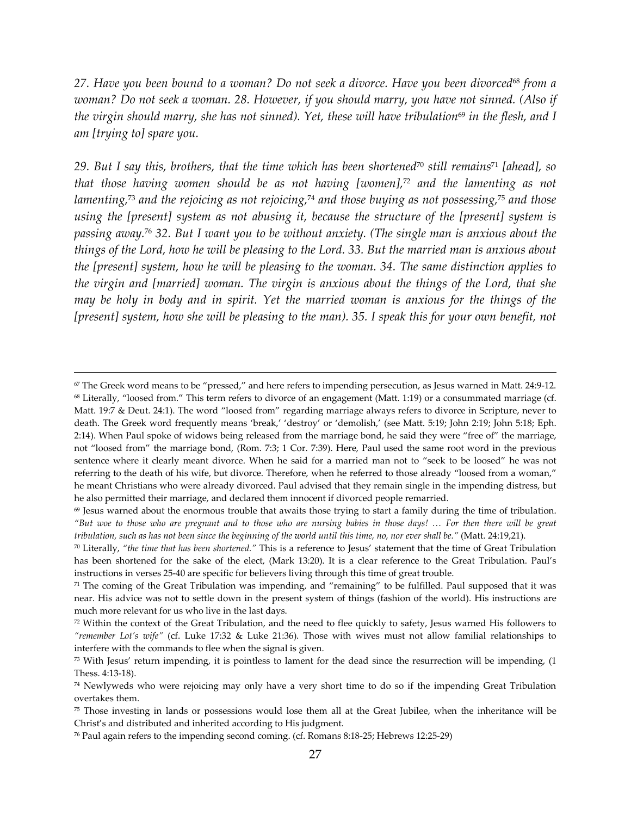*27. Have you been bound to a woman? Do not seek a divorce. Have you been divorced*68 *from a woman? Do not seek a woman. 28. However, if you should marry, you have not sinned. (Also if the virgin should marry, she has not sinned). Yet, these will have tribulation*69 *in the flesh, and I am [trying to] spare you.* 

*29. But I say this, brothers, that the time which has been shortened*70 *still remains*71 *[ahead], so that those having women should be as not having [women],*72 *and the lamenting as not lamenting,*73 *and the rejoicing as not rejoicing,*74 *and those buying as not possessing,*75 *and those using the [present] system as not abusing it, because the structure of the [present] system is passing away.*76 *32. But I want you to be without anxiety. (The single man is anxious about the things of the Lord, how he will be pleasing to the Lord. 33. But the married man is anxious about the [present] system, how he will be pleasing to the woman. 34. The same distinction applies to the virgin and [married] woman. The virgin is anxious about the things of the Lord, that she may be holy in body and in spirit. Yet the married woman is anxious for the things of the*  [present] system, how she will be pleasing to the man). 35. I speak this for your own benefit, not

<sup>67</sup> The Greek word means to be "pressed," and here refers to impending persecution, as Jesus warned in Matt. 24:9-12. <sup>68</sup> Literally, "loosed from." This term refers to divorce of an engagement (Matt. 1:19) or a consummated marriage (cf. Matt. 19:7 & Deut. 24:1). The word "loosed from" regarding marriage always refers to divorce in Scripture, never to death. The Greek word frequently means 'break,' 'destroy' or 'demolish,' (see Matt. 5:19; John 2:19; John 5:18; Eph. 2:14). When Paul spoke of widows being released from the marriage bond, he said they were "free of" the marriage, not "loosed from" the marriage bond, (Rom. 7:3; 1 Cor. 7:39). Here, Paul used the same root word in the previous sentence where it clearly meant divorce. When he said for a married man not to "seek to be loosed" he was not referring to the death of his wife, but divorce. Therefore, when he referred to those already "loosed from a woman," he meant Christians who were already divorced. Paul advised that they remain single in the impending distress, but he also permitted their marriage, and declared them innocent if divorced people remarried.

 $69$  Jesus warned about the enormous trouble that awaits those trying to start a family during the time of tribulation. *"But woe to those who are pregnant and to those who are nursing babies in those days! … For then there will be great tribulation, such as has not been since the beginning of the world until this time, no, nor ever shall be."* (Matt. 24:19,21).

<sup>70</sup> Literally, *"the time that has been shortened."* This is a reference to Jesus' statement that the time of Great Tribulation has been shortened for the sake of the elect, (Mark 13:20). It is a clear reference to the Great Tribulation. Paul's instructions in verses 25-40 are specific for believers living through this time of great trouble.

 $71$  The coming of the Great Tribulation was impending, and "remaining" to be fulfilled. Paul supposed that it was near. His advice was not to settle down in the present system of things (fashion of the world). His instructions are much more relevant for us who live in the last days.

<sup>72</sup> Within the context of the Great Tribulation, and the need to flee quickly to safety, Jesus warned His followers to *"remember Lot's wife"* (cf. Luke 17:32 & Luke 21:36). Those with wives must not allow familial relationships to interfere with the commands to flee when the signal is given.

<sup>73</sup> With Jesus' return impending, it is pointless to lament for the dead since the resurrection will be impending, (1 Thess. 4:13-18).

<sup>74</sup> Newlyweds who were rejoicing may only have a very short time to do so if the impending Great Tribulation overtakes them.

<sup>75</sup> Those investing in lands or possessions would lose them all at the Great Jubilee, when the inheritance will be Christ's and distributed and inherited according to His judgment.

<sup>76</sup> Paul again refers to the impending second coming. (cf. Romans 8:18-25; Hebrews 12:25-29)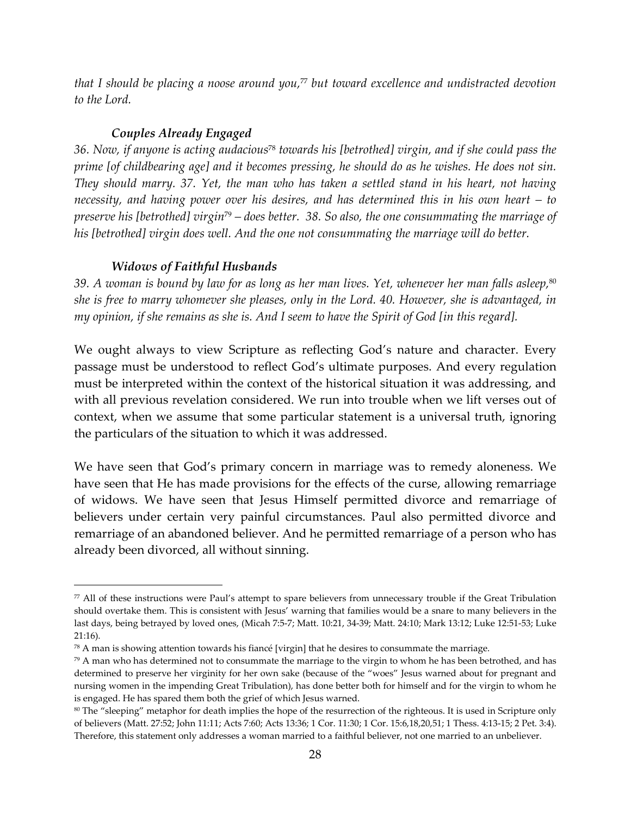*that I should be placing a noose around you,*77 *but toward excellence and undistracted devotion to the Lord.* 

#### *Couples Already Engaged*

*36. Now, if anyone is acting audacious*78 *towards his [betrothed] virgin, and if she could pass the prime [of childbearing age] and it becomes pressing, he should do as he wishes. He does not sin. They should marry. 37. Yet, the man who has taken a settled stand in his heart, not having necessity, and having power over his desires, and has determined this in his own heart – to preserve his [betrothed] virgin*79 *– does better. 38. So also, the one consummating the marriage of*  his [betrothed] virgin does well. And the one not consummating the marriage will do better.

#### *Widows of Faithful Husbands*

-

*39. A woman is bound by law for as long as her man lives. Yet, whenever her man falls asleep,*<sup>80</sup> *she is free to marry whomever she pleases, only in the Lord. 40. However, she is advantaged, in my opinion, if she remains as she is. And I seem to have the Spirit of God [in this regard].* 

We ought always to view Scripture as reflecting God's nature and character. Every passage must be understood to reflect God's ultimate purposes. And every regulation must be interpreted within the context of the historical situation it was addressing, and with all previous revelation considered. We run into trouble when we lift verses out of context, when we assume that some particular statement is a universal truth, ignoring the particulars of the situation to which it was addressed.

We have seen that God's primary concern in marriage was to remedy aloneness. We have seen that He has made provisions for the effects of the curse, allowing remarriage of widows. We have seen that Jesus Himself permitted divorce and remarriage of believers under certain very painful circumstances. Paul also permitted divorce and remarriage of an abandoned believer. And he permitted remarriage of a person who has already been divorced, all without sinning.

 $77$  All of these instructions were Paul's attempt to spare believers from unnecessary trouble if the Great Tribulation should overtake them. This is consistent with Jesus' warning that families would be a snare to many believers in the last days, being betrayed by loved ones, (Micah 7:5-7; Matt. 10:21, 34-39; Matt. 24:10; Mark 13:12; Luke 12:51-53; Luke 21:16).

<sup>78</sup> A man is showing attention towards his fiancé [virgin] that he desires to consummate the marriage.

 $79$  A man who has determined not to consummate the marriage to the virgin to whom he has been betrothed, and has determined to preserve her virginity for her own sake (because of the "woes" Jesus warned about for pregnant and nursing women in the impending Great Tribulation), has done better both for himself and for the virgin to whom he is engaged. He has spared them both the grief of which Jesus warned.

<sup>&</sup>lt;sup>80</sup> The "sleeping" metaphor for death implies the hope of the resurrection of the righteous. It is used in Scripture only of believers (Matt. 27:52; John 11:11; Acts 7:60; Acts 13:36; 1 Cor. 11:30; 1 Cor. 15:6,18,20,51; 1 Thess. 4:13-15; 2 Pet. 3:4). Therefore, this statement only addresses a woman married to a faithful believer, not one married to an unbeliever.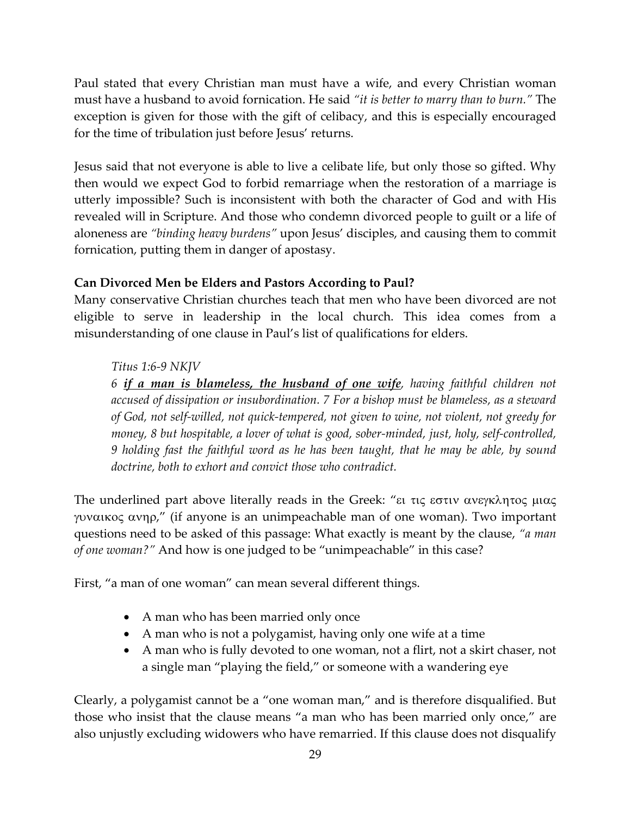Paul stated that every Christian man must have a wife, and every Christian woman must have a husband to avoid fornication. He said *"it is better to marry than to burn."* The exception is given for those with the gift of celibacy, and this is especially encouraged for the time of tribulation just before Jesus' returns.

Jesus said that not everyone is able to live a celibate life, but only those so gifted. Why then would we expect God to forbid remarriage when the restoration of a marriage is utterly impossible? Such is inconsistent with both the character of God and with His revealed will in Scripture. And those who condemn divorced people to guilt or a life of aloneness are *"binding heavy burdens"* upon Jesus' disciples, and causing them to commit fornication, putting them in danger of apostasy.

#### **Can Divorced Men be Elders and Pastors According to Paul?**

Many conservative Christian churches teach that men who have been divorced are not eligible to serve in leadership in the local church. This idea comes from a misunderstanding of one clause in Paul's list of qualifications for elders.

#### *Titus 1:6-9 NKJV*

*6 if a man is blameless, the husband of one wife, having faithful children not accused of dissipation or insubordination. 7 For a bishop must be blameless, as a steward of God, not self-willed, not quick-tempered, not given to wine, not violent, not greedy for money, 8 but hospitable, a lover of what is good, sober-minded, just, holy, self-controlled, 9 holding fast the faithful word as he has been taught, that he may be able, by sound doctrine, both to exhort and convict those who contradict.* 

The underlined part above literally reads in the Greek: "ει τις εστιν ανεγκλητος µιας γυναικος ανηρ," (if anyone is an unimpeachable man of one woman). Two important questions need to be asked of this passage: What exactly is meant by the clause, *"a man of one woman?"* And how is one judged to be "unimpeachable" in this case?

First, "a man of one woman" can mean several different things.

- A man who has been married only once
- A man who is not a polygamist, having only one wife at a time
- A man who is fully devoted to one woman, not a flirt, not a skirt chaser, not a single man "playing the field," or someone with a wandering eye

Clearly, a polygamist cannot be a "one woman man," and is therefore disqualified. But those who insist that the clause means "a man who has been married only once," are also unjustly excluding widowers who have remarried. If this clause does not disqualify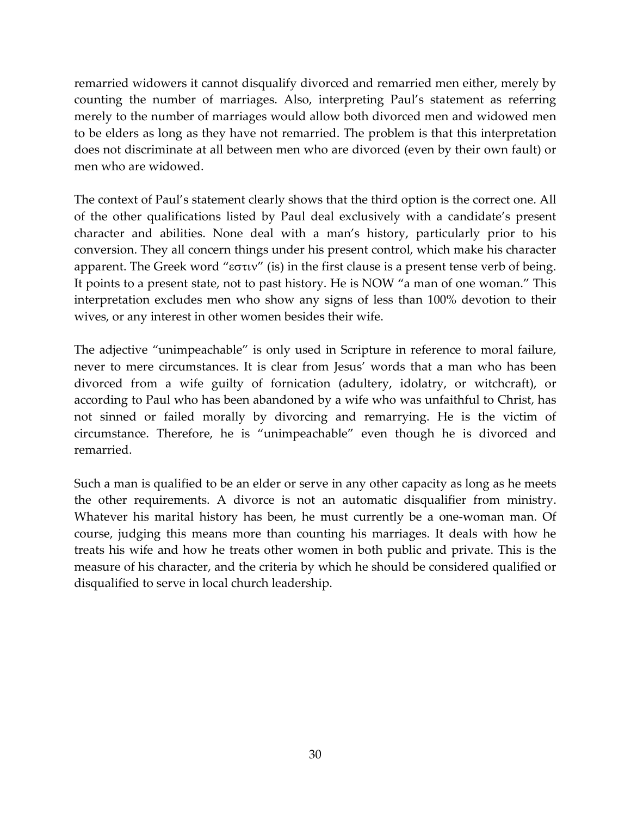remarried widowers it cannot disqualify divorced and remarried men either, merely by counting the number of marriages. Also, interpreting Paul's statement as referring merely to the number of marriages would allow both divorced men and widowed men to be elders as long as they have not remarried. The problem is that this interpretation does not discriminate at all between men who are divorced (even by their own fault) or men who are widowed.

The context of Paul's statement clearly shows that the third option is the correct one. All of the other qualifications listed by Paul deal exclusively with a candidate's present character and abilities. None deal with a man's history, particularly prior to his conversion. They all concern things under his present control, which make his character apparent. The Greek word "εστιν" (is) in the first clause is a present tense verb of being. It points to a present state, not to past history. He is NOW "a man of one woman." This interpretation excludes men who show any signs of less than 100% devotion to their wives, or any interest in other women besides their wife.

The adjective "unimpeachable" is only used in Scripture in reference to moral failure, never to mere circumstances. It is clear from Jesus' words that a man who has been divorced from a wife guilty of fornication (adultery, idolatry, or witchcraft), or according to Paul who has been abandoned by a wife who was unfaithful to Christ, has not sinned or failed morally by divorcing and remarrying. He is the victim of circumstance. Therefore, he is "unimpeachable" even though he is divorced and remarried.

Such a man is qualified to be an elder or serve in any other capacity as long as he meets the other requirements. A divorce is not an automatic disqualifier from ministry. Whatever his marital history has been, he must currently be a one-woman man. Of course, judging this means more than counting his marriages. It deals with how he treats his wife and how he treats other women in both public and private. This is the measure of his character, and the criteria by which he should be considered qualified or disqualified to serve in local church leadership.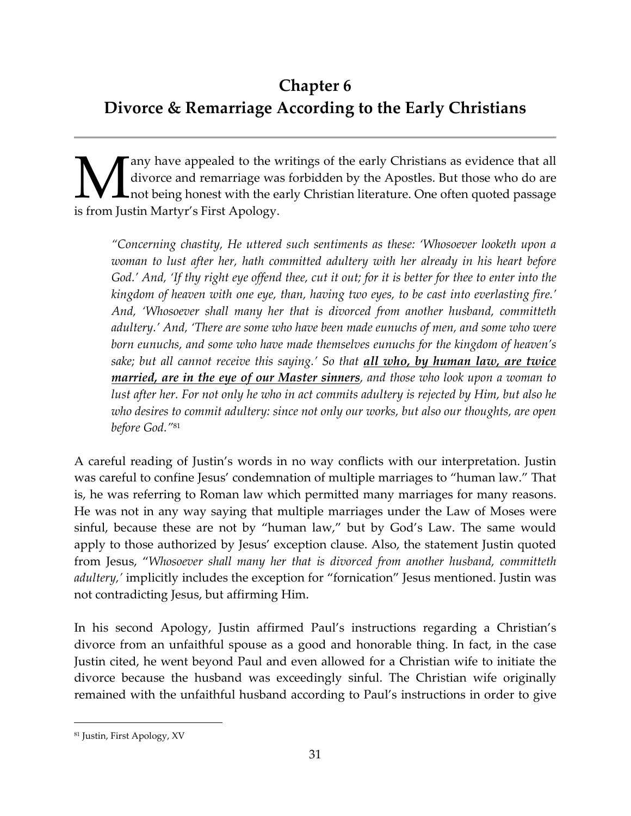# **Chapter 6 Divorce & Remarriage According to the Early Christians**

any have appealed to the writings of the early Christians as evidence that all divorce and remarriage was forbidden by the Apostles. But those who do are not being honest with the early Christian literature. One often quoted passage **M**ary have appealed to the w<br>divorce and remarriage was<br>is from Justin Martyr's First Apology.

*"Concerning chastity, He uttered such sentiments as these: 'Whosoever looketh upon a woman to lust after her, hath committed adultery with her already in his heart before God.' And, 'If thy right eye offend thee, cut it out; for it is better for thee to enter into the kingdom of heaven with one eye, than, having two eyes, to be cast into everlasting fire.' And, 'Whosoever shall many her that is divorced from another husband, committeth adultery.' And, 'There are some who have been made eunuchs of men, and some who were born eunuchs, and some who have made themselves eunuchs for the kingdom of heaven's sake; but all cannot receive this saying.' So that all who, by human law, are twice married, are in the eye of our Master sinners, and those who look upon a woman to lust after her. For not only he who in act commits adultery is rejected by Him, but also he who desires to commit adultery: since not only our works, but also our thoughts, are open before God."*<sup>81</sup>

A careful reading of Justin's words in no way conflicts with our interpretation. Justin was careful to confine Jesus' condemnation of multiple marriages to "human law." That is, he was referring to Roman law which permitted many marriages for many reasons. He was not in any way saying that multiple marriages under the Law of Moses were sinful, because these are not by "human law," but by God's Law. The same would apply to those authorized by Jesus' exception clause. Also, the statement Justin quoted from Jesus, "*Whosoever shall many her that is divorced from another husband, committeth adultery,'* implicitly includes the exception for "fornication" Jesus mentioned. Justin was not contradicting Jesus, but affirming Him.

In his second Apology, Justin affirmed Paul's instructions regarding a Christian's divorce from an unfaithful spouse as a good and honorable thing. In fact, in the case Justin cited, he went beyond Paul and even allowed for a Christian wife to initiate the divorce because the husband was exceedingly sinful. The Christian wife originally remained with the unfaithful husband according to Paul's instructions in order to give

<sup>81</sup> Justin, First Apology, XV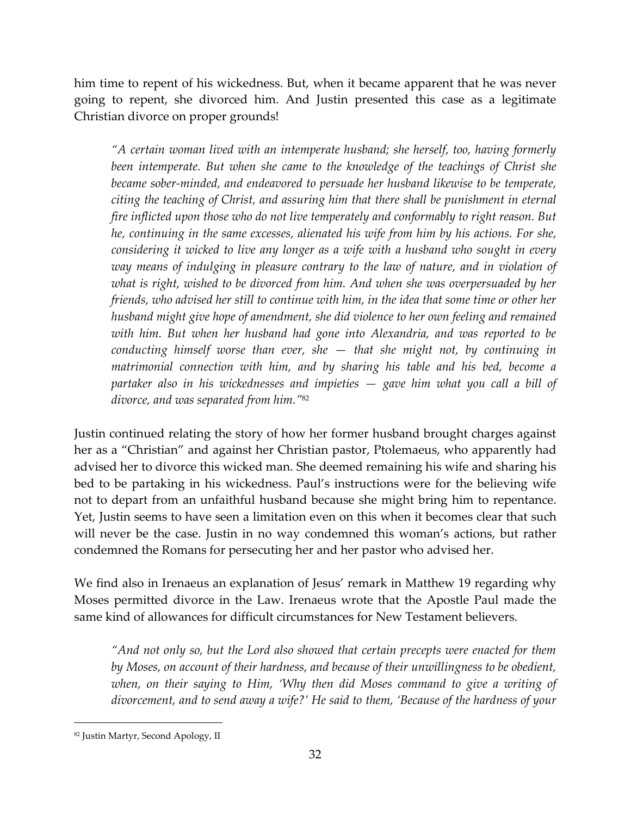him time to repent of his wickedness. But, when it became apparent that he was never going to repent, she divorced him. And Justin presented this case as a legitimate Christian divorce on proper grounds!

*"A certain woman lived with an intemperate husband; she herself, too, having formerly been intemperate. But when she came to the knowledge of the teachings of Christ she became sober-minded, and endeavored to persuade her husband likewise to be temperate, citing the teaching of Christ, and assuring him that there shall be punishment in eternal fire inflicted upon those who do not live temperately and conformably to right reason. But he, continuing in the same excesses, alienated his wife from him by his actions. For she, considering it wicked to live any longer as a wife with a husband who sought in every*  way means of indulging in pleasure contrary to the law of nature, and in violation of *what is right, wished to be divorced from him. And when she was overpersuaded by her friends, who advised her still to continue with him, in the idea that some time or other her husband might give hope of amendment, she did violence to her own feeling and remained with him. But when her husband had gone into Alexandria, and was reported to be conducting himself worse than ever, she — that she might not, by continuing in matrimonial connection with him, and by sharing his table and his bed, become a partaker also in his wickednesses and impieties — gave him what you call a bill of divorce, and was separated from him."*<sup>82</sup>

Justin continued relating the story of how her former husband brought charges against her as a "Christian" and against her Christian pastor, Ptolemaeus, who apparently had advised her to divorce this wicked man. She deemed remaining his wife and sharing his bed to be partaking in his wickedness. Paul's instructions were for the believing wife not to depart from an unfaithful husband because she might bring him to repentance. Yet, Justin seems to have seen a limitation even on this when it becomes clear that such will never be the case. Justin in no way condemned this woman's actions, but rather condemned the Romans for persecuting her and her pastor who advised her.

We find also in Irenaeus an explanation of Jesus' remark in Matthew 19 regarding why Moses permitted divorce in the Law. Irenaeus wrote that the Apostle Paul made the same kind of allowances for difficult circumstances for New Testament believers.

*"And not only so, but the Lord also showed that certain precepts were enacted for them by Moses, on account of their hardness, and because of their unwillingness to be obedient,*  when, on their saying to Him, 'Why then did Moses command to give a writing of *divorcement, and to send away a wife?' He said to them, 'Because of the hardness of your* 

<sup>82</sup> Justin Martyr, Second Apology, II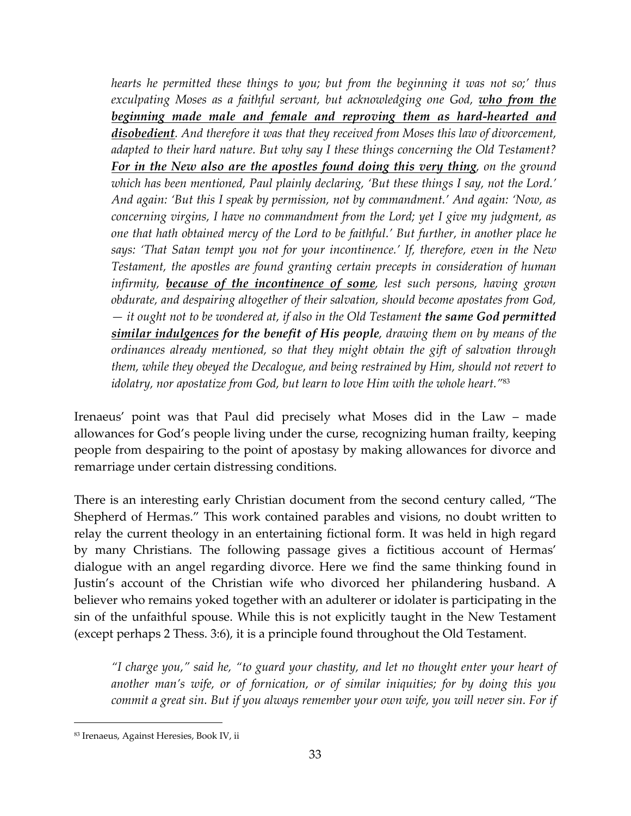*hearts he permitted these things to you; but from the beginning it was not so;' thus exculpating Moses as a faithful servant, but acknowledging one God, who from the beginning made male and female and reproving them as hard-hearted and disobedient. And therefore it was that they received from Moses this law of divorcement, adapted to their hard nature. But why say I these things concerning the Old Testament? For in the New also are the apostles found doing this very thing, on the ground which has been mentioned, Paul plainly declaring, 'But these things I say, not the Lord.' And again: 'But this I speak by permission, not by commandment.' And again: 'Now, as concerning virgins, I have no commandment from the Lord; yet I give my judgment, as one that hath obtained mercy of the Lord to be faithful.' But further, in another place he says: 'That Satan tempt you not for your incontinence.' If, therefore, even in the New Testament, the apostles are found granting certain precepts in consideration of human infirmity, because of the incontinence of some, lest such persons, having grown obdurate, and despairing altogether of their salvation, should become apostates from God, — it ought not to be wondered at, if also in the Old Testament the same God permitted similar indulgences for the benefit of His people, drawing them on by means of the ordinances already mentioned, so that they might obtain the gift of salvation through them, while they obeyed the Decalogue, and being restrained by Him, should not revert to idolatry, nor apostatize from God, but learn to love Him with the whole heart."*<sup>83</sup>

Irenaeus' point was that Paul did precisely what Moses did in the Law – made allowances for God's people living under the curse, recognizing human frailty, keeping people from despairing to the point of apostasy by making allowances for divorce and remarriage under certain distressing conditions.

There is an interesting early Christian document from the second century called, "The Shepherd of Hermas." This work contained parables and visions, no doubt written to relay the current theology in an entertaining fictional form. It was held in high regard by many Christians. The following passage gives a fictitious account of Hermas' dialogue with an angel regarding divorce. Here we find the same thinking found in Justin's account of the Christian wife who divorced her philandering husband. A believer who remains yoked together with an adulterer or idolater is participating in the sin of the unfaithful spouse. While this is not explicitly taught in the New Testament (except perhaps 2 Thess. 3:6), it is a principle found throughout the Old Testament.

*"I charge you," said he, "to guard your chastity, and let no thought enter your heart of another man's wife, or of fornication, or of similar iniquities; for by doing this you commit a great sin. But if you always remember your own wife, you will never sin. For if* 

<sup>83</sup> Irenaeus, Against Heresies, Book IV, ii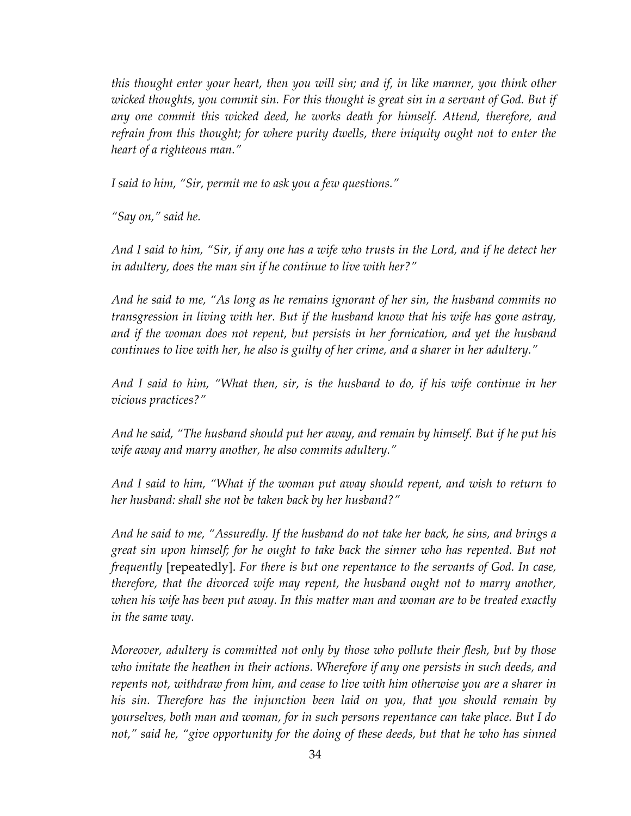*this thought enter your heart, then you will sin; and if, in like manner, you think other wicked thoughts, you commit sin. For this thought is great sin in a servant of God. But if any one commit this wicked deed, he works death for himself. Attend, therefore, and refrain from this thought; for where purity dwells, there iniquity ought not to enter the heart of a righteous man."* 

*I said to him, "Sir, permit me to ask you a few questions."* 

*"Say on," said he.* 

*And I said to him, "Sir, if any one has a wife who trusts in the Lord, and if he detect her in adultery, does the man sin if he continue to live with her?"* 

*And he said to me, "As long as he remains ignorant of her sin, the husband commits no transgression in living with her. But if the husband know that his wife has gone astray, and if the woman does not repent, but persists in her fornication, and yet the husband continues to live with her, he also is guilty of her crime, and a sharer in her adultery."* 

*And I said to him, "What then, sir, is the husband to do, if his wife continue in her vicious practices?"* 

*And he said, "The husband should put her away, and remain by himself. But if he put his wife away and marry another, he also commits adultery."* 

*And I said to him, "What if the woman put away should repent, and wish to return to her husband: shall she not be taken back by her husband?"* 

*And he said to me, "Assuredly. If the husband do not take her back, he sins, and brings a great sin upon himself; for he ought to take back the sinner who has repented. But not frequently* [repeatedly]. *For there is but one repentance to the servants of God. In case, therefore, that the divorced wife may repent, the husband ought not to marry another, when his wife has been put away. In this matter man and woman are to be treated exactly in the same way.* 

*Moreover, adultery is committed not only by those who pollute their flesh, but by those who imitate the heathen in their actions. Wherefore if any one persists in such deeds, and repents not, withdraw from him, and cease to live with him otherwise you are a sharer in his sin. Therefore has the injunction been laid on you, that you should remain by yourselves, both man and woman, for in such persons repentance can take place. But I do not," said he, "give opportunity for the doing of these deeds, but that he who has sinned*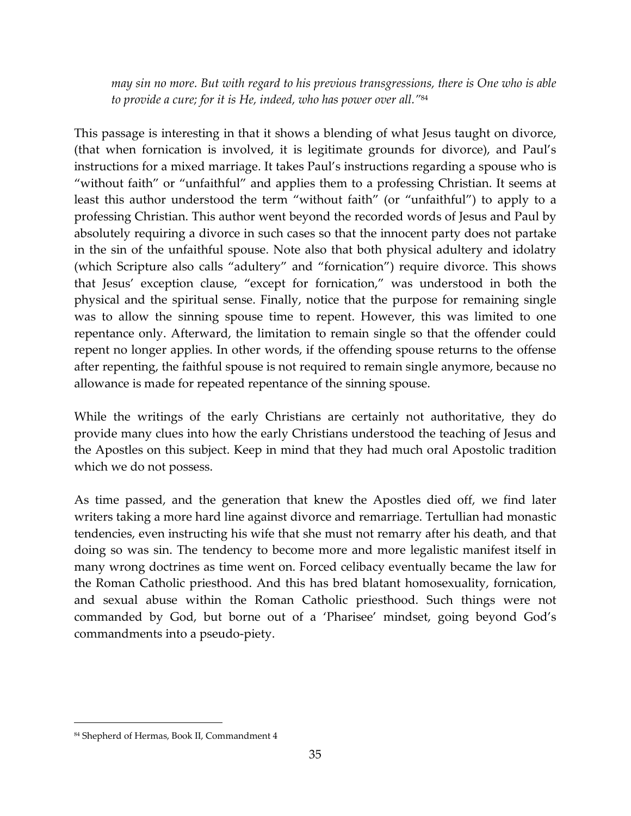*may sin no more. But with regard to his previous transgressions, there is One who is able to provide a cure; for it is He, indeed, who has power over all."*<sup>84</sup>

This passage is interesting in that it shows a blending of what Jesus taught on divorce, (that when fornication is involved, it is legitimate grounds for divorce), and Paul's instructions for a mixed marriage. It takes Paul's instructions regarding a spouse who is "without faith" or "unfaithful" and applies them to a professing Christian. It seems at least this author understood the term "without faith" (or "unfaithful") to apply to a professing Christian. This author went beyond the recorded words of Jesus and Paul by absolutely requiring a divorce in such cases so that the innocent party does not partake in the sin of the unfaithful spouse. Note also that both physical adultery and idolatry (which Scripture also calls "adultery" and "fornication") require divorce. This shows that Jesus' exception clause, "except for fornication," was understood in both the physical and the spiritual sense. Finally, notice that the purpose for remaining single was to allow the sinning spouse time to repent. However, this was limited to one repentance only. Afterward, the limitation to remain single so that the offender could repent no longer applies. In other words, if the offending spouse returns to the offense after repenting, the faithful spouse is not required to remain single anymore, because no allowance is made for repeated repentance of the sinning spouse.

While the writings of the early Christians are certainly not authoritative, they do provide many clues into how the early Christians understood the teaching of Jesus and the Apostles on this subject. Keep in mind that they had much oral Apostolic tradition which we do not possess.

As time passed, and the generation that knew the Apostles died off, we find later writers taking a more hard line against divorce and remarriage. Tertullian had monastic tendencies, even instructing his wife that she must not remarry after his death, and that doing so was sin. The tendency to become more and more legalistic manifest itself in many wrong doctrines as time went on. Forced celibacy eventually became the law for the Roman Catholic priesthood. And this has bred blatant homosexuality, fornication, and sexual abuse within the Roman Catholic priesthood. Such things were not commanded by God, but borne out of a 'Pharisee' mindset, going beyond God's commandments into a pseudo-piety.

<sup>84</sup> Shepherd of Hermas, Book II, Commandment 4